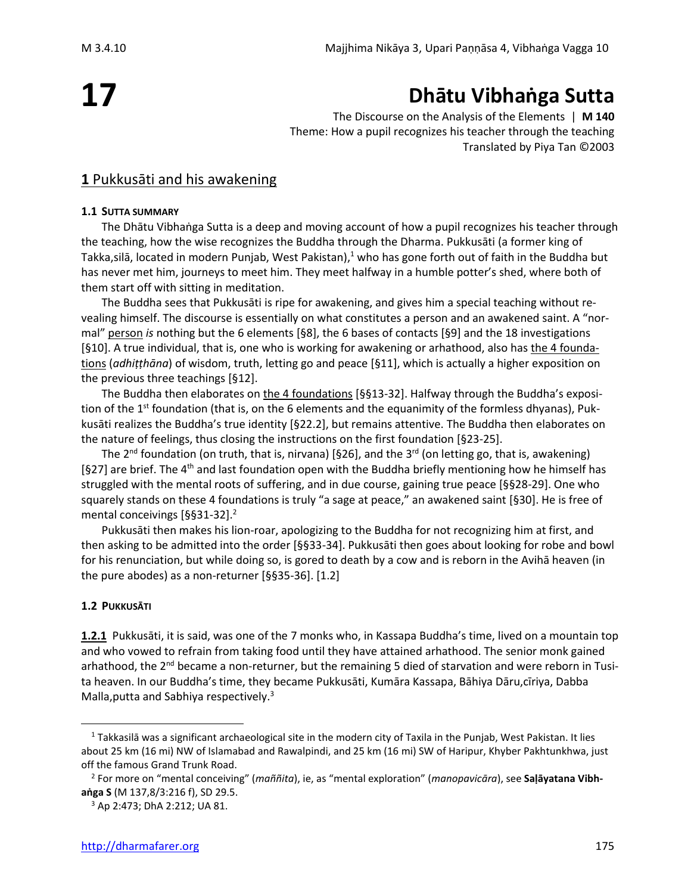# **17**

# **Dhātu Vibhaṅga Sutta**

The Discourse on the Analysis of the Elements | **M 140** Theme: How a pupil recognizes his teacher through the teaching Translated by Piya Tan ©2003

# **1** Pukkusāti and his awakening

#### **1.1 SUTTA SUMMARY**

The Dhātu Vibhaṅga Sutta is a deep and moving account of how a pupil recognizes his teacher through the teaching, how the wise recognizes the Buddha through the Dharma. Pukkusāti (a former king of Takka, silā, located in modern Punjab, West Pakistan), $1$  who has gone forth out of faith in the Buddha but has never met him, journeys to meet him. They meet halfway in a humble potter's shed, where both of them start off with sitting in meditation.

The Buddha sees that Pukkusāti is ripe for awakening, and gives him a special teaching without revealing himself. The discourse is essentially on what constitutes a person and an awakened saint. A "normal" person *is* nothing but the 6 elements [§8], the 6 bases of contacts [§9] and the 18 investigations [§10]. A true individual, that is, one who is working for awakening or arhathood, also has the 4 foundations (*adhiṭṭhāna*) of wisdom, truth, letting go and peace [§11], which is actually a higher exposition on the previous three teachings [§12].

The Buddha then elaborates on the 4 foundations [§§13-32]. Halfway through the Buddha's exposition of the 1<sup>st</sup> foundation (that is, on the 6 elements and the equanimity of the formless dhyanas), Pukkusāti realizes the Buddha's true identity [§22.2], but remains attentive. The Buddha then elaborates on the nature of feelings, thus closing the instructions on the first foundation [§23-25].

The 2<sup>nd</sup> foundation (on truth, that is, nirvana) [§26], and the 3<sup>rd</sup> (on letting go, that is, awakening) [§27] are brief. The 4<sup>th</sup> and last foundation open with the Buddha briefly mentioning how he himself has struggled with the mental roots of suffering, and in due course, gaining true peace [§§28-29]. One who squarely stands on these 4 foundations is truly "a sage at peace," an awakened saint [§30]. He is free of mental conceivings [§§31-32].<sup>2</sup>

Pukkusāti then makes his lion-roar, apologizing to the Buddha for not recognizing him at first, and then asking to be admitted into the order [§§33-34]. Pukkusāti then goes about looking for robe and bowl for his renunciation, but while doing so, is gored to death by a cow and is reborn in the Avihā heaven (in the pure abodes) as a non-returner [§§35-36]. [1.2]

#### **1.2 PUKKUSĀTI**

**1.2.1** Pukkusāti, it is said, was one of the 7 monks who, in Kassapa Buddha's time, lived on a mountain top and who vowed to refrain from taking food until they have attained arhathood. The senior monk gained arhathood, the 2<sup>nd</sup> became a non-returner, but the remaining 5 died of starvation and were reborn in Tusita heaven. In our Buddha's time, they became Pukkusāti, Kumāra Kassapa, Bāhiya Dāru,cīriya, Dabba Malla, putta and Sabhiya respectively.<sup>3</sup>

<sup>1</sup> Takkasilā was a significant archaeological site in the modern city of Taxila in the Punjab, West Pakistan. It lies about 25 km (16 mi) NW of Islamabad and Rawalpindi, and 25 km (16 mi) SW of Haripur, Khyber Pakhtunkhwa, just off the famous Grand Trunk Road.

<sup>2</sup> For more on "mental conceiving" (*maññita*), ie, as "mental exploration" (*manopavicāra*), see **Saḷāyatana Vibhaṅga S** (M 137,8/3:216 f), SD 29.5.

<sup>3</sup> Ap 2:473; DhA 2:212; UA 81.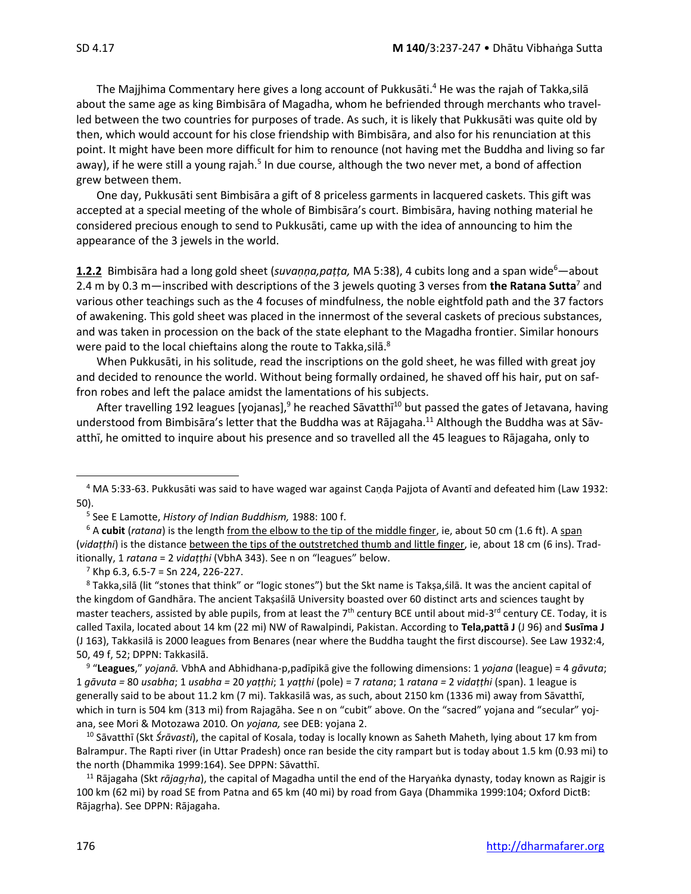The Majjhima Commentary here gives a long account of Pukkusāti.<sup>4</sup> He was the rajah of Takka, silā about the same age as king Bimbisāra of Magadha, whom he befriended through merchants who travelled between the two countries for purposes of trade. As such, it is likely that Pukkusāti was quite old by then, which would account for his close friendship with Bimbisāra, and also for his renunciation at this point. It might have been more difficult for him to renounce (not having met the Buddha and living so far away), if he were still a young rajah.<sup>5</sup> In due course, although the two never met, a bond of affection grew between them.

One day, Pukkusāti sent Bimbisāra a gift of 8 priceless garments in lacquered caskets. This gift was accepted at a special meeting of the whole of Bimbisāra's court. Bimbisāra, having nothing material he considered precious enough to send to Pukkusāti, came up with the idea of announcing to him the appearance of the 3 jewels in the world.

**1.2.2** Bimbisāra had a long gold sheet (*suvaṇṇa,paṭṭa,* MA 5:38), 4 cubits long and a span wide<sup>6</sup>—about 2.4 m by 0.3 m—inscribed with descriptions of the 3 jewels quoting 3 verses from **the Ratana Sutta**<sup>7</sup> and various other teachings such as the 4 focuses of mindfulness, the noble eightfold path and the 37 factors of awakening. This gold sheet was placed in the innermost of the several caskets of precious substances, and was taken in procession on the back of the state elephant to the Magadha frontier. Similar honours were paid to the local chieftains along the route to Takka,silā. $^8$ 

When Pukkusāti, in his solitude, read the inscriptions on the gold sheet, he was filled with great joy and decided to renounce the world. Without being formally ordained, he shaved off his hair, put on saffron robes and left the palace amidst the lamentations of his subjects.

After travelling 192 leagues [yojanas],<sup>9</sup> he reached Sāvatthī<sup>10</sup> but passed the gates of Jetavana, having understood from Bimbisāra's letter that the Buddha was at Rājagaha. <sup>11</sup> Although the Buddha was at Sāvatthī, he omitted to inquire about his presence and so travelled all the 45 leagues to Rājagaha, only to

<sup>8</sup> Takka,silā (lit "stones that think" or "logic stones") but the Skt name is Takṣa,śilā. It was the ancient capital of the kingdom of Gandhāra. The ancient Takṣaśilā University boasted over 60 distinct arts and sciences taught by master teachers, assisted by able pupils, from at least the 7<sup>th</sup> century BCE until about mid-3<sup>rd</sup> century CE. Today, it is called Taxila, located about 14 km (22 mi) NW of Rawalpindi, Pakistan. According to **Tela,pattā J** (J 96) and **Susīma J** (J 163), Takkasilā is 2000 leagues from Benares (near where the Buddha taught the first discourse). See Law 1932:4, 50, 49 f, 52; DPPN: Takkasilā.

9 "**Leagues**," *yojanā.* VbhA and Abhidhana-p,padīpikā give the following dimensions: 1 *yojana* (league) = 4 *gāvuta*; 1 *gāvuta =* 80 *usabha*; 1 *usabha =* 20 *yaṭṭhi*; 1 *yaṭṭhi* (pole) = 7 *ratana*; 1 *ratana =* 2 *vidaṭṭhi* (span). 1 league is generally said to be about 11.2 km (7 mi). Takkasilā was, as such, about 2150 km (1336 mi) away from Sāvatthī, which in turn is 504 km (313 mi) from Rajagāha. See n on "cubit" above. On the "sacred" yojana and "secular" yojana, see Mori & Motozawa 2010. On *yojana,* see DEB: yojana 2.

<sup>10</sup> Sāvatthī (Skt *Śrāvasti*), the capital of Kosala, today is locally known as Saheth Maheth, lying about 17 km from Balrampur. The Rapti river (in Uttar Pradesh) once ran beside the city rampart but is today about 1.5 km (0.93 mi) to the north (Dhammika 1999:164). See DPPN: Sāvatthī.

<sup>11</sup> Rājagaha (Skt *rājagha*), the capital of Magadha until the end of the Haryaṅka dynasty, today known as Rajgir is 100 km (62 mi) by road SE from Patna and 65 km (40 mi) by road from Gaya (Dhammika 1999:104; Oxford DictB: Rājagṛha). See DPPN: Rājagaha.

<sup>4</sup> MA 5:33-63. Pukkusāti was said to have waged war against Caṇḍa Pajjota of Avantī and defeated him (Law 1932: 50).

<sup>5</sup> See E Lamotte, *History of Indian Buddhism,* 1988: 100 f.

<sup>6</sup> A **cubit** (*ratana*) is the length from the elbow to the tip of the middle finger, ie, about 50 cm (1.6 ft). A span (*vidaṭṭhi*) is the distance between the tips of the outstretched thumb and little finger, ie, about 18 cm (6 ins). Traditionally, 1 *ratana* = 2 *vidaṭṭhi* (VbhA 343). See n on "leagues" below.

 $7$  Khp 6.3, 6.5-7 = Sn 224, 226-227.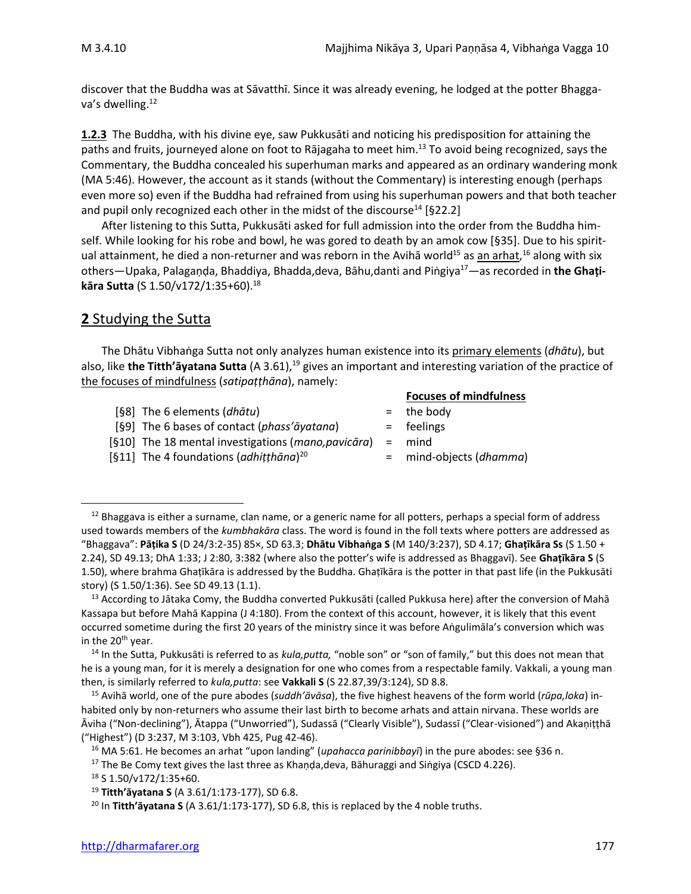discover that the Buddha was at Sāvatthī. Since it was already evening, he lodged at the potter Bhaggava's dwelling. 12

**1.2.3** The Buddha, with his divine eye, saw Pukkusāti and noticing his predisposition for attaining the paths and fruits, journeyed alone on foot to Rājagaha to meet him.<sup>13</sup> To avoid being recognized, says the Commentary, the Buddha concealed his superhuman marks and appeared as an ordinary wandering monk (MA 5:46). However, the account as it stands (without the Commentary) is interesting enough (perhaps even more so) even if the Buddha had refrained from using his superhuman powers and that both teacher and pupil only recognized each other in the midst of the discourse<sup>14</sup> [§22.2]

After listening to this Sutta, Pukkusāti asked for full admission into the order from the Buddha himself. While looking for his robe and bowl, he was gored to death by an amok cow [§35]. Due to his spiritual attainment, he died a non-returner and was reborn in the Avihā world<sup>15</sup> as <u>an arhat</u>,<sup>16</sup> along with six others—Upaka, Palagaṇḍa, Bhaddiya, Bhadda,deva, Bāhu,danti and Piṅgiya<sup>17</sup>—as recorded in **the Ghaṭikāra Sutta** (S 1.50/v172/1:35+60). 18

# **2** Studying the Sutta

The Dhātu Vibhaṅga Sutta not only analyzes human existence into its primary elements (*dhātu*), but also, like **the Titth'āyatana Sutta** (A 3.61),<sup>19</sup> gives an important and interesting variation of the practice of the focuses of mindfulness (*satipaṭṭhāna*), namely:

- [§8] The 6 elements (*dhātu*) = the body
- [§9] The 6 bases of contact (*phass'āyatana*) = feelings
- [§10] The 18 mental investigations (*mano,pavicāra*) = mind
- [§11] The 4 foundations (*adhiṭṭhāna*)

#### **Focuses of mindfulness**

- 
- 
- 
- <sup>20</sup> = mind-objects (*dhamma*)

 $12$  Bhaggava is either a surname, clan name, or a generic name for all potters, perhaps a special form of address used towards members of the *kumbhakāra* class. The word is found in the foll texts where potters are addressed as "Bhaggava": **Pāṭika S** (D 24/3:2-35) 85×, SD 63.3; **Dhātu Vibhaṅga S** (M 140/3:237), SD 4.17; **Ghaṭīkāra Ss** (S 1.50 + 2.24), SD 49.13; DhA 1:33; J 2:80, 3:382 (where also the potter's wife is addressed as Bhaggavī). See **Ghaṭīkāra S** (S 1.50), where brahma Ghaṭīkāra is addressed by the Buddha. Ghaṭīkāra is the potter in that past life (in the Pukkusāti story) (S 1.50/1:36). See SD 49.13 (1.1).

<sup>&</sup>lt;sup>13</sup> According to Jātaka Comy, the Buddha converted Pukkusāti (called Pukkusa here) after the conversion of Mahā Kassapa but before Mahā Kappina (J 4:180). From the context of this account, however, it is likely that this event occurred sometime during the first 20 years of the ministry since it was before Aṅgulimāla's conversion which was in the  $20<sup>th</sup>$  year.

<sup>14</sup> In the Sutta, Pukkusāti is referred to as *kula,putta,* "noble son" or "son of family," but this does not mean that he is a young man, for it is merely a designation for one who comes from a respectable family. Vakkali, a young man then, is similarly referred to *kula,putta*: see **Vakkali S** (S 22.87,39/3:124), SD 8.8.

<sup>15</sup> Avihā world, one of the pure abodes (*suddh'āvāsa*), the five highest heavens of the form world (*rūpa,loka*) inhabited only by non-returners who assume their last birth to become arhats and attain nirvana. These worlds are Ᾱviha ("Non-declining"), Ᾱtappa ("Unworried"), Sudassā ("Clearly Visible"), Sudassī ("Clear-visioned") and Akaṇiṭṭhā ("Highest") (D 3:237, M 3:103, Vbh 425, Pug 42-46).

<sup>16</sup> MA 5:61. He becomes an arhat "upon landing" (*upahacca parinibbayī*) in the pure abodes: see §36 n.

<sup>&</sup>lt;sup>17</sup> The Be Comy text gives the last three as Khaṇḍa,deva, Bāhuraggi and Siṅgiya (CSCD 4.226).

<sup>18</sup> S 1.50/v172/1:35+60.

<sup>19</sup> **Titth'āyatana S** (A 3.61/1:173-177), SD 6.8.

<sup>20</sup> In **Titth'āyatana S** (A 3.61/1:173-177), SD 6.8, this is replaced by the 4 noble truths.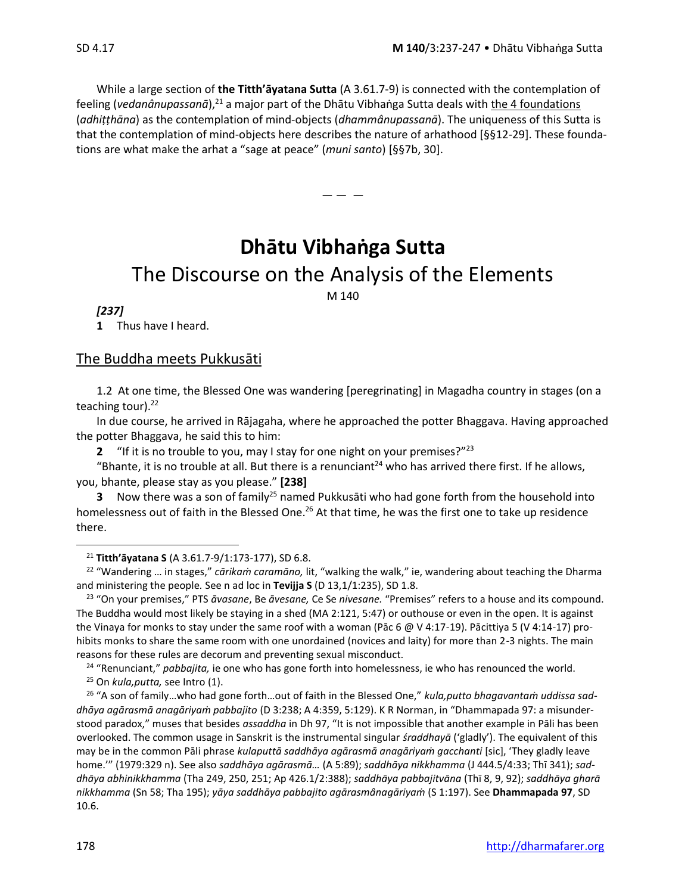While a large section of **the Titth'āyatana Sutta** (A 3.61.7-9) is connected with the contemplation of feeling (*vedanânupassanā*),<sup>21</sup> a major part of the Dhātu Vibhaṅga Sutta deals with the 4 foundations (*adhiṭṭhāna*) as the contemplation of mind-objects (*dhammânupassanā*). The uniqueness of this Sutta is that the contemplation of mind-objects here describes the nature of arhathood [§§12-29]. These foundations are what make the arhat a "sage at peace" (*muni santo*) [§§7b, 30].

 $-- -$ 

**Dhātu Vibhaṅga Sutta** The Discourse on the Analysis of the Elements M 140

#### *[237]*

**1** Thus have I heard.

#### The Buddha meets Pukkusāti

1.2 At one time, the Blessed One was wandering [peregrinating] in Magadha country in stages (on a teaching tour). $^{22}$ 

In due course, he arrived in Rājagaha, where he approached the potter Bhaggava. Having approached the potter Bhaggava, he said this to him:

**2** "If it is no trouble to you, may I stay for one night on your premises?"<sup>23</sup>

"Bhante, it is no trouble at all. But there is a renunciant<sup>24</sup> who has arrived there first. If he allows, you, bhante, please stay as you please." **[238]**

**3** Now there was a son of family<sup>25</sup> named Pukkusāti who had gone forth from the household into homelessness out of faith in the Blessed One.<sup>26</sup> At that time, he was the first one to take up residence there.

<sup>21</sup> **Titth'āyatana S** (A 3.61.7-9/1:173-177), SD 6.8.

<sup>24</sup> "Renunciant," *pabbajita,* ie one who has gone forth into homelessness, ie who has renounced the world. <sup>25</sup> On *kula,putta,* see Intro (1).

<sup>26</sup> "A son of family…who had gone forth…out of faith in the Blessed One," *kula,putto bhagavantaṁ uddissa saddhāya agārasmā anagāriyaṁ pabbajito* (D 3:238; A 4:359, 5:129). K R Norman, in "Dhammapada 97: a misunderstood paradox," muses that besides *assaddha* in Dh 97, "It is not impossible that another example in Pāli has been overlooked. The common usage in Sanskrit is the instrumental singular *śraddhayā* ('gladly'). The equivalent of this may be in the common Pāli phrase *kulaputtā saddhāya agārasmā anagāriyaṁ gacchanti* [sic], 'They gladly leave home.'" (1979:329 n). See also *saddhāya agārasmā…* (A 5:89); *saddhāya nikkhamma* (J 444.5/4:33; Thī 341); *saddhāya abhinikkhamma* (Tha 249, 250, 251; Ap 426.1/2:388); *saddhāya pabbajitvāna* (Thī 8, 9, 92); *saddhāya gharā nikkhamma* (Sn 58; Tha 195); *yāya saddhāya pabbajito agārasmânagāriyaṁ* (S 1:197). See **Dhammapada 97**, SD 10.6.

<sup>22</sup> "Wandering … in stages," *cārikaṁ caramāno,* lit, "walking the walk," ie, wandering about teaching the Dharma and ministering the people*.* See n ad loc in **Tevijja S** (D 13,1/1:235), SD 1.8.

<sup>23</sup> "On your premises," PTS *āvasane*, Be *āvesane,* Ce Se *nivesane.* "Premises" refers to a house and its compound. The Buddha would most likely be staying in a shed (MA 2:121, 5:47) or outhouse or even in the open. It is against the Vinaya for monks to stay under the same roof with a woman (Pāc 6 @ V 4:17-19). Pācittiya 5 (V 4:14-17) prohibits monks to share the same room with one unordained (novices and laity) for more than 2-3 nights. The main reasons for these rules are decorum and preventing sexual misconduct.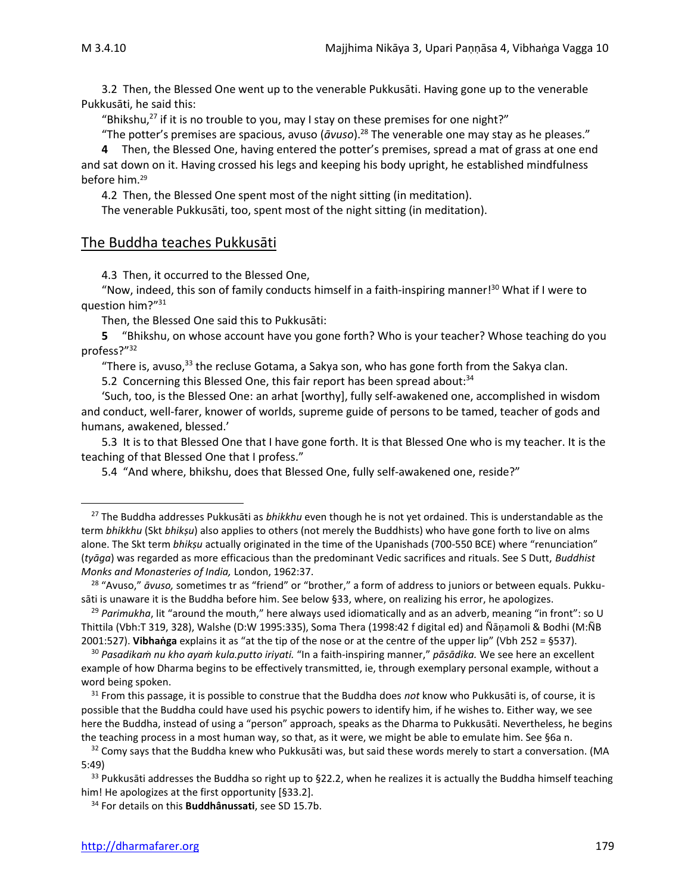3.2 Then, the Blessed One went up to the venerable Pukkusāti. Having gone up to the venerable Pukkusāti, he said this:

"Bhikshu, $^{27}$  if it is no trouble to you, may I stay on these premises for one night?"

"The potter's premises are spacious, avuso (*āvuso*). <sup>28</sup> The venerable one may stay as he pleases."

**4** Then, the Blessed One, having entered the potter's premises, spread a mat of grass at one end and sat down on it. Having crossed his legs and keeping his body upright, he established mindfulness before him.<sup>29</sup>

4.2 Then, the Blessed One spent most of the night sitting (in meditation).

The venerable Pukkusāti, too, spent most of the night sitting (in meditation).

#### The Buddha teaches Pukkusāti

4.3 Then, it occurred to the Blessed One,

"Now, indeed, this son of family conducts himself in a faith-inspiring manner! <sup>30</sup> What if I were to question him?" 31

Then, the Blessed One said this to Pukkusāti:

**5** "Bhikshu, on whose account have you gone forth? Who is your teacher? Whose teaching do you profess?"<sup>32</sup>

"There is, avuso,<sup>33</sup> the recluse Gotama, a Sakya son, who has gone forth from the Sakya clan.

5.2 Concerning this Blessed One, this fair report has been spread about:<sup>34</sup>

'Such, too, is the Blessed One: an arhat [worthy], fully self-awakened one, accomplished in wisdom and conduct, well-farer, knower of worlds, supreme guide of persons to be tamed, teacher of gods and humans, awakened, blessed.'

5.3 It is to that Blessed One that I have gone forth. It is that Blessed One who is my teacher. It is the teaching of that Blessed One that I profess."

5.4 "And where, bhikshu, does that Blessed One, fully self-awakened one, reside?"

<sup>34</sup> For details on this **Buddhânussati**, see SD 15.7b.

<sup>27</sup> The Buddha addresses Pukkusāti as *bhikkhu* even though he is not yet ordained. This is understandable as the term *bhikkhu* (Skt *bhikṣu*) also applies to others (not merely the Buddhists) who have gone forth to live on alms alone. The Skt term *bhikṣu* actually originated in the time of the Upanishads (700-550 BCE) where "renunciation" (*tyāga*) was regarded as more efficacious than the predominant Vedic sacrifices and rituals. See S Dutt, *Buddhist Monks and Monasteries of India,* London, 1962:37.

<sup>28</sup> "Avuso," *āvuso,* sometimes tr as "friend" or "brother," a form of address to juniors or between equals. Pukkusāti is unaware it is the Buddha before him. See below §33, where, on realizing his error, he apologizes.

<sup>29</sup> *Parimukha*, lit "around the mouth," here always used idiomatically and as an adverb, meaning "in front": so U Thittila (Vbh:T 319, 328), Walshe (D:W 1995:335), Soma Thera (1998:42 f digital ed) and Ñāṇamoli & Bodhi (M:ÑB 2001:527). **Vibhaṅga** explains it as "at the tip of the nose or at the centre of the upper lip" (Vbh 252 = §537).

<sup>30</sup> *Pasadikaṁ nu kho ayaṁ kula.putto iriyati.* "In a faith-inspiring manner," *pāsādika.* We see here an excellent example of how Dharma begins to be effectively transmitted, ie, through exemplary personal example, without a word being spoken.

<sup>31</sup> From this passage, it is possible to construe that the Buddha does *not* know who Pukkusāti is, of course, it is possible that the Buddha could have used his psychic powers to identify him, if he wishes to. Either way, we see here the Buddha, instead of using a "person" approach, speaks as the Dharma to Pukkusāti. Nevertheless, he begins the teaching process in a most human way, so that, as it were, we might be able to emulate him. See §6a n.

<sup>&</sup>lt;sup>32</sup> Comy says that the Buddha knew who Pukkusāti was, but said these words merely to start a conversation. (MA 5:49)

 $33$  Pukkusāti addresses the Buddha so right up to §22.2, when he realizes it is actually the Buddha himself teaching him! He apologizes at the first opportunity [§33.2].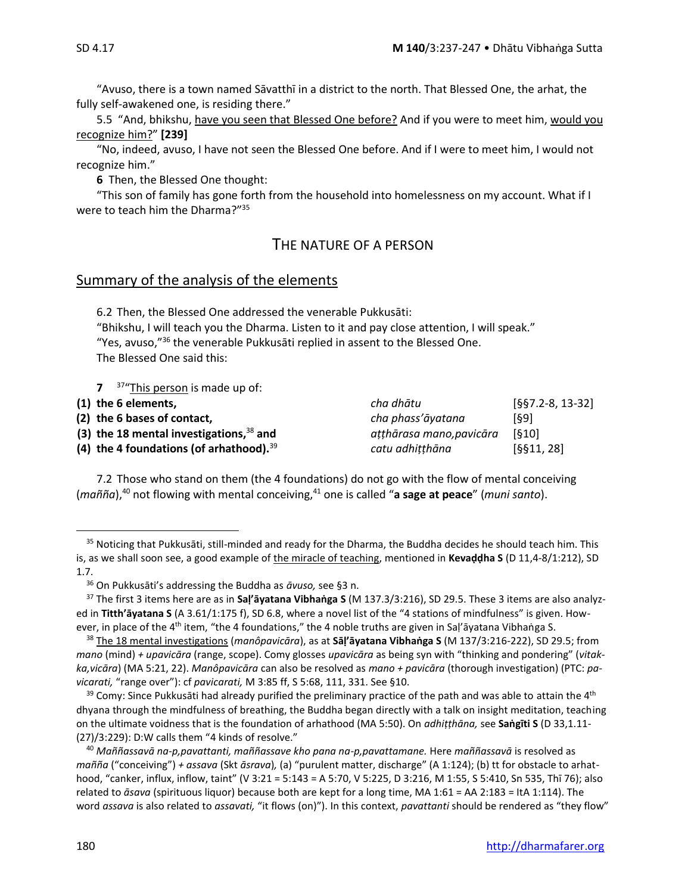"Avuso, there is a town named Sāvatthī in a district to the north. That Blessed One, the arhat, the fully self-awakened one, is residing there."

5.5 "And, bhikshu, have you seen that Blessed One before? And if you were to meet him, would you recognize him?" **[239]**

"No, indeed, avuso, I have not seen the Blessed One before. And if I were to meet him, I would not recognize him."

**6** Then, the Blessed One thought:

"This son of family has gone forth from the household into homelessness on my account. What if I were to teach him the Dharma?"<sup>35</sup>

# THE NATURE OF A PERSON

#### Summary of the analysis of the elements

6.2 Then, the Blessed One addressed the venerable Pukkusāti: "Bhikshu, I will teach you the Dharma. Listen to it and pay close attention, I will speak." "Yes, avuso," $36$  the venerable Pukkusāti replied in assent to the Blessed One. The Blessed One said this:

**7** <sup>37</sup>"This person is made up of:

| (1) the 6 elements,                          | cha dhātu               | $[§§7.2-8, 13-32]$ |
|----------------------------------------------|-------------------------|--------------------|
| (2) the 6 bases of contact,                  | cha phass'āyatana       | [69]               |
| (3) the 18 mental investigations, $38$ and   | atthārasa mano,pavicāra | [610]              |
| (4) the 4 foundations (of arhathood). $3939$ | catu adhitthāna         | [§§11, 28]         |

7.2 Those who stand on them (the 4 foundations) do not go with the flow of mental conceiving (*mañña*),<sup>40</sup> not flowing with mental conceiving, <sup>41</sup> one is called "**a sage at peace**" (*muni santo*).

<sup>&</sup>lt;sup>35</sup> Noticing that Pukkusāti, still-minded and ready for the Dharma, the Buddha decides he should teach him. This is, as we shall soon see, a good example of the miracle of teaching, mentioned in **Kevaḍḍha S** (D 11,4-8/1:212), SD 1.7.

<sup>36</sup> On Pukkusāti's addressing the Buddha as *āvuso,* see §3 n.

<sup>37</sup> The first 3 items here are as in **Saḷ'āyatana Vibhaṅga S** (M 137.3/3:216), SD 29.5. These 3 items are also analyzed in **Titth'āyatana S** (A 3.61/1:175 f), SD 6.8, where a novel list of the "4 stations of mindfulness" is given. However, in place of the 4<sup>th</sup> item, "the 4 foundations," the 4 noble truths are given in Saḷ'āyatana Vibhaṅga S.

<sup>38</sup> The 18 mental investigations (*manôpavicāra*), as at **Sāḷ'āyatana Vibhaṅga S** (M 137/3:216-222), SD 29.5; from *mano* (mind) *+ upavicāra* (range, scope). Comy glosses *upavicāra* as being syn with "thinking and pondering" (*vitakka,vicāra*) (MA 5:21, 22). *Manôpavicāra* can also be resolved as *mano + pavicāra* (thorough investigation) (PTC: *pavicarati,* "range over"): cf *pavicarati,* M 3:85 ff, S 5:68, 111, 331. See §10.

<sup>&</sup>lt;sup>39</sup> Comy: Since Pukkusāti had already purified the preliminary practice of the path and was able to attain the 4<sup>th</sup> dhyana through the mindfulness of breathing, the Buddha began directly with a talk on insight meditation, teaching on the ultimate voidness that is the foundation of arhathood (MA 5:50). On *adhiṭṭhāna,* see **Saṅgīti S** (D 33,1.11- (27)/3:229): D:W calls them "4 kinds of resolve."

<sup>40</sup> *Maññassavā na-p,pavattanti, maññassave kho pana na-p,pavattamane.* Here *maññassavā* is resolved as *mañña* ("conceiving") *+ assava* (Skt *āsrava*)*,* (a) "purulent matter, discharge" (A 1:124); (b) tt for obstacle to arhathood, "canker, influx, inflow, taint" (V 3:21 = 5:143 = A 5:70, V 5:225, D 3:216, M 1:55, S 5:410, Sn 535, Thī 76); also related to *āsava* (spirituous liquor) because both are kept for a long time, MA 1:61 = AA 2:183 = ItA 1:114). The word *assava* is also related to *assavati,* "it flows (on)"). In this context, *pavattanti* should be rendered as "they flow"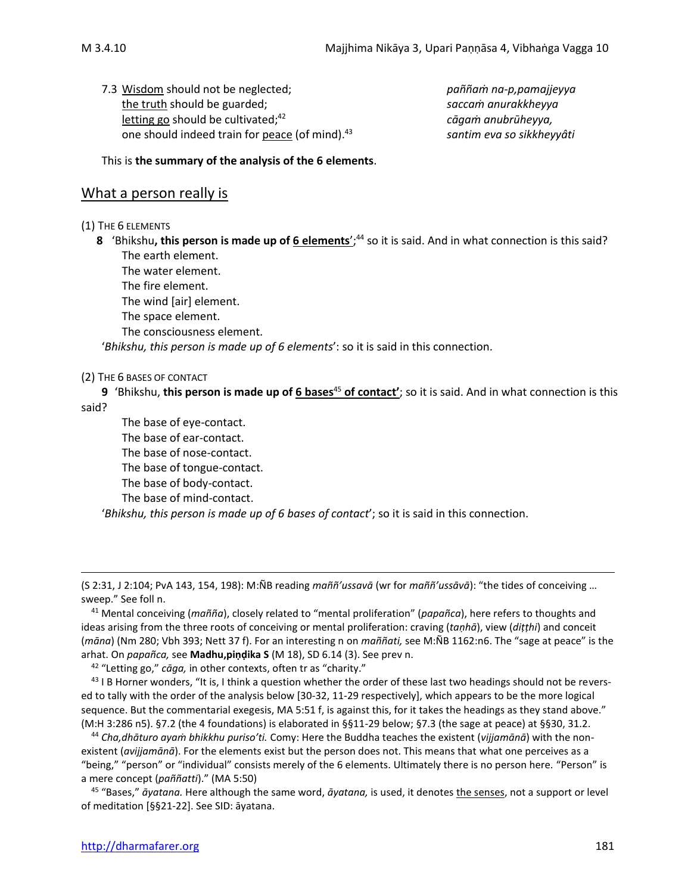7.3 Wisdom should not be neglected; *paññaṁ na-p,pamajjeyya* the truth should be guarded; *saccaṁ anurakkheyya* letting go should be cultivated;<sup>42</sup> one should indeed train for peace (of mind).<sup>43</sup>

<sup>42</sup> *cāgaṁ anubrūheyya,* <sup>43</sup> *santim eva so sikkheyyâti*

This is **the summary of the analysis of the 6 elements**.

# What a person really is

(1) THE 6 ELEMENTS

**8** 'Bhikshu**, this person is made up of 6 elements**'; <sup>44</sup> so it is said. And in what connection is this said? The earth element.

The water element. The fire element.

The wind [air] element. The space element.

The consciousness element.

'*Bhikshu, this person is made up of 6 elements*': so it is said in this connection.

(2) THE 6 BASES OF CONTACT

**9** 'Bhikshu, **this person is made up of 6 bases**<sup>45</sup> **of contact'**; so it is said. And in what connection is this said?

The base of eye-contact. The base of ear-contact. The base of nose-contact. The base of tongue-contact. The base of body-contact. The base of mind-contact. '*Bhikshu, this person is made up of 6 bases of contact*'; so it is said in this connection.

<sup>42</sup> "Letting go," *cāga,* in other contexts, often tr as "charity."

 $43$  I B Horner wonders, "It is, I think a question whether the order of these last two headings should not be reversed to tally with the order of the analysis below [30-32, 11-29 respectively], which appears to be the more logical sequence. But the commentarial exegesis, MA 5:51 f, is against this, for it takes the headings as they stand above." (M:H 3:286 n5). §7.2 (the 4 foundations) is elaborated in §§11-29 below; §7.3 (the sage at peace) at §§30, 31.2.

<sup>44</sup> *Cha,dhāturo ayaṁ bhikkhu puriso'ti.* Comy: Here the Buddha teaches the existent (*vijjamānā*) with the nonexistent (*avijjamānā*). For the elements exist but the person does not. This means that what one perceives as a "being," "person" or "individual" consists merely of the 6 elements. Ultimately there is no person here. "Person" is a mere concept (*paññatti*)." (MA 5:50)

<sup>45</sup> "Bases," *āyatana.* Here although the same word, *āyatana,* is used, it denotes the senses, not a support or level of meditation [§§21-22]. See SID: āyatana.

<sup>(</sup>S 2:31, J 2:104; PvA 143, 154, 198): M:ÑB reading *maññ'ussavā* (wr for *maññ'ussāvā*): "the tides of conceiving … sweep." See foll n.

<sup>41</sup> Mental conceiving (*mañña*), closely related to "mental proliferation" (*papañca*), here refers to thoughts and ideas arising from the three roots of conceiving or mental proliferation: craving (*taṇhā*), view (*diṭṭhi*) and conceit (*māna*) (Nm 280; Vbh 393; Nett 37 f). For an interesting n on *maññati,* see M:ÑB 1162:n6. The "sage at peace" is the arhat. On *papañca,* see **Madhu,piṇḍika S** (M 18), SD 6.14 (3). See prev n.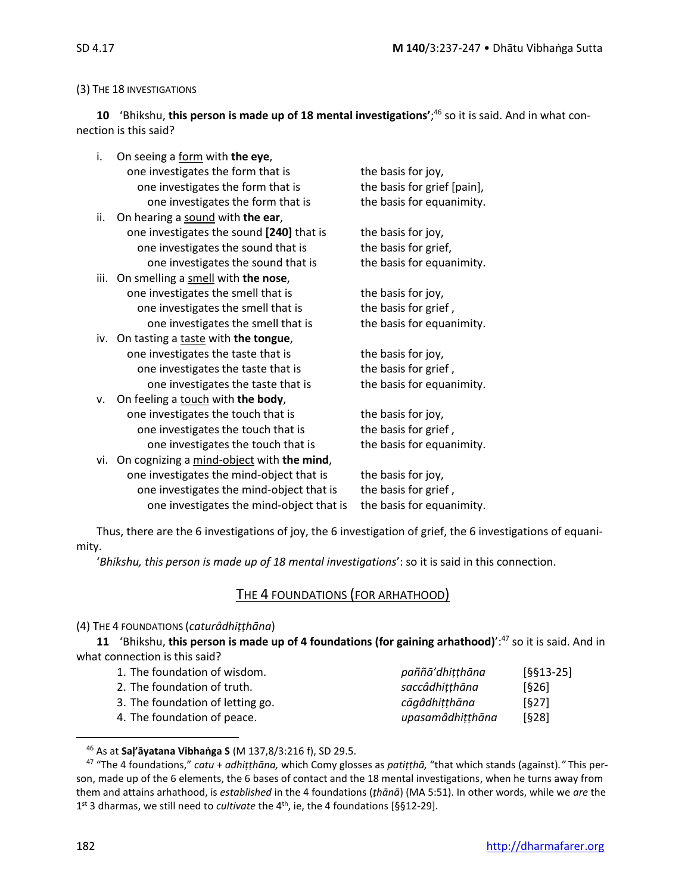#### (3) THE 18 INVESTIGATIONS

 **10** 'Bhikshu, **this person is made up of 18 mental investigations'**; <sup>46</sup> so it is said. And in what connection is this said?

| i.  | On seeing a form with the eye,                |                             |
|-----|-----------------------------------------------|-----------------------------|
|     | one investigates the form that is             | the basis for joy,          |
|     | one investigates the form that is             | the basis for grief [pain], |
|     | one investigates the form that is             | the basis for equanimity.   |
| ii. | On hearing a sound with the ear,              |                             |
|     | one investigates the sound [240] that is      | the basis for joy,          |
|     | one investigates the sound that is            | the basis for grief,        |
|     | one investigates the sound that is            | the basis for equanimity.   |
|     | iii. On smelling a smell with the nose,       |                             |
|     | one investigates the smell that is            | the basis for joy,          |
|     | one investigates the smell that is            | the basis for grief,        |
|     | one investigates the smell that is            | the basis for equanimity.   |
|     | iv. On tasting a taste with the tongue,       |                             |
|     | one investigates the taste that is            | the basis for joy,          |
|     | one investigates the taste that is            | the basis for grief,        |
|     | one investigates the taste that is            | the basis for equanimity.   |
| v.  | On feeling a touch with the body,             |                             |
|     | one investigates the touch that is            | the basis for joy,          |
|     | one investigates the touch that is            | the basis for grief,        |
|     | one investigates the touch that is            | the basis for equanimity.   |
|     | vi. On cognizing a mind-object with the mind, |                             |
|     | one investigates the mind-object that is      | the basis for joy,          |
|     | one investigates the mind-object that is      | the basis for grief,        |
|     | one investigates the mind-object that is      | the basis for equanimity.   |
|     |                                               |                             |

Thus, there are the 6 investigations of joy, the 6 investigation of grief, the 6 investigations of equanimity.

'*Bhikshu, this person is made up of 18 mental investigations*': so it is said in this connection.

# THE 4 FOUNDATIONS (FOR ARHATHOOD)

#### (4) THE 4 FOUNDATIONS (*caturâdhiṭṭhāna*)

**11** 'Bhikshu, **this person is made up of 4 foundations (for gaining arhathood)**':<sup>47</sup> so it is said. And in what connection is this said?

| 1. The foundation of wisdom.     | paññā'dhitthāna  | $[§§13-25]$ |
|----------------------------------|------------------|-------------|
| 2. The foundation of truth.      | saccâdhitthāna   | [§26]       |
| 3. The foundation of letting go. | cāgâdhitthāna    | [627]       |
| 4. The foundation of peace.      | upasamâdhitthāna | [§28]       |

<sup>46</sup> As at **Saļ'āyatana Vibhaṅga S** (M 137,8/3:216 f), SD 29.5.

<sup>47</sup> "The 4 foundations," *catu* + *adhiṭṭhāna,* which Comy glosses as *patiṭṭhā,* "that which stands (against)*."* This person, made up of the 6 elements, the 6 bases of contact and the 18 mental investigations, when he turns away from them and attains arhathood, is *established* in the 4 foundations (*ṭhānā*) (MA 5:51). In other words, while we *are* the 1<sup>st</sup> 3 dharmas, we still need to *cultivate* the 4<sup>th</sup>, ie, the 4 foundations [§§12-29].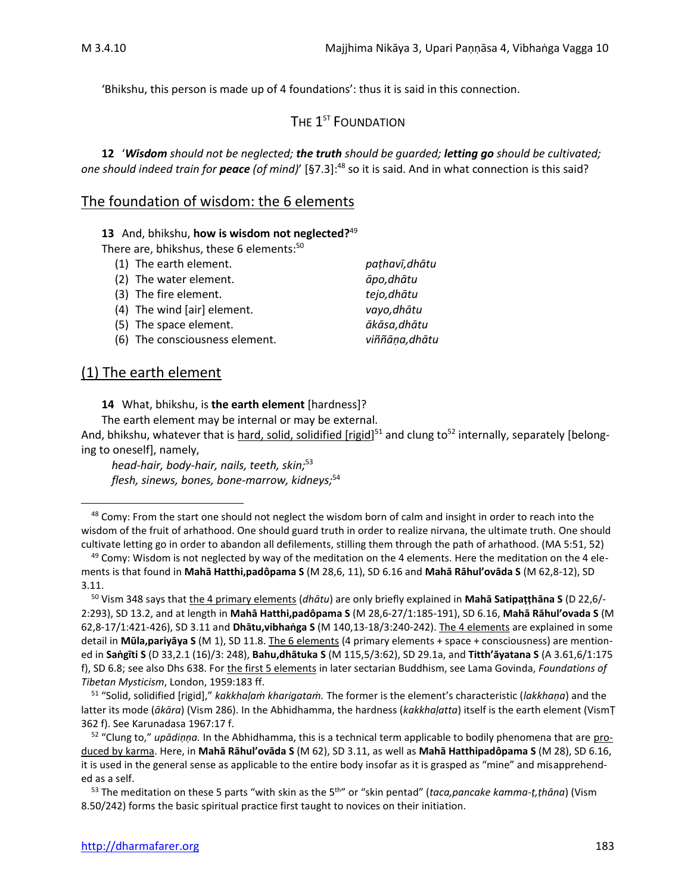'Bhikshu, this person is made up of 4 foundations': thus it is said in this connection.

The  $\mathbf{1}^{\text{st}}$  Foundation

**12** '*Wisdom should not be neglected; the truth should be guarded; letting go should be cultivated; one should indeed train for peace (of mind)*' [§7.3]: <sup>48</sup> so it is said. And in what connection is this said?

#### The foundation of wisdom: the 6 elements

**13** And, bhikshu, **how is wisdom not neglected?** 49

There are, bhikshus, these 6 elements:<sup>50</sup>

| (1) The earth element.         | pathavī, dhātu |
|--------------------------------|----------------|
| (2) The water element.         | āpo, dhātu     |
| (3) The fire element.          | tejo, dhātu    |
| (4) The wind [air] element.    | vayo, dhātu    |
| (5) The space element.         | ākāsa, dhātu   |
| (6) The consciousness element. | viññāna, dhātu |

# (1) The earth element

**14** What, bhikshu, is **the earth element** [hardness]?

The earth element may be internal or may be external.

And, bhikshu, whatever that is <u>hard, solid, solidified [rigid</u>]<sup>51</sup> and clung to<sup>52</sup> internally, separately [belonging to oneself], namely,

*head-hair, body-hair, nails, teeth, skin;*<sup>53</sup> *flesh, sinews, bones, bone-marrow, kidneys;*<sup>54</sup>

<sup>&</sup>lt;sup>48</sup> Comy: From the start one should not neglect the wisdom born of calm and insight in order to reach into the wisdom of the fruit of arhathood. One should guard truth in order to realize nirvana, the ultimate truth. One should cultivate letting go in order to abandon all defilements, stilling them through the path of arhathood. (MA 5:51, 52)

 $49$  Comy: Wisdom is not neglected by way of the meditation on the 4 elements. Here the meditation on the 4 elements is that found in **Mahā Hatthi,padôpama S** (M 28,6, 11), SD 6.16 and **Mahā Rāhul'ovāda S** (M 62,8-12), SD 3.11.

<sup>50</sup> Vism 348 says that the 4 primary elements (*dhātu*) are only briefly explained in **Mahā Satipaṭṭhāna S** (D 22,6/- 2:293), SD 13.2, and at length in **Mahā Hatthi,padôpama S** (M 28,6-27/1:185-191), SD 6.16, **Mahā Rāhul'ovada S** (M 62,8-17/1:421-426), SD 3.11 and **Dhātu,vibhaṅga S** (M 140,13-18/3:240-242). The 4 elements are explained in some detail in **Mūla,pariyāya S** (M 1), SD 11.8. The 6 elements (4 primary elements + space + consciousness) are mentioned in **Saṅgīti S** (D 33,2.1 (16)/3: 248), **Bahu,dhātuka S** (M 115,5/3:62), SD 29.1a, and **Titth'āyatana S** (A 3.61,6/1:175 f), SD 6.8; see also Dhs 638. For the first 5 elements in later sectarian Buddhism, see Lama Govinda, *Foundations of Tibetan Mysticism*, London, 1959:183 ff.

<sup>51</sup> "Solid, solidified [rigid]," *kakkhaḷaṁ kharigataṁ.* The former is the element's characteristic (*lakkhaṇa*) and the latter its mode (*ākāra*) (Vism 286). In the Abhidhamma, the hardness (*kakkhaḷatta*) itself is the earth element (VismṬ 362 f). See Karunadasa 1967:17 f.

<sup>52</sup> "Clung to," *upādiṇṇa.* In the Abhidhamma, this is a technical term applicable to bodily phenomena that are produced by karma. Here, in **Mahā Rāhul'ovāda S** (M 62), SD 3.11, as well as **Mahā Hatthipadôpama S** (M 28), SD 6.16, it is used in the general sense as applicable to the entire body insofar as it is grasped as "mine" and misapprehended as a self.

<sup>&</sup>lt;sup>53</sup> The meditation on these 5 parts "with skin as the 5<sup>th</sup>" or "skin pentad" (*taca,pancake kamma-ṭ,ṭhāna*) (Vism 8.50/242) forms the basic spiritual practice first taught to novices on their initiation.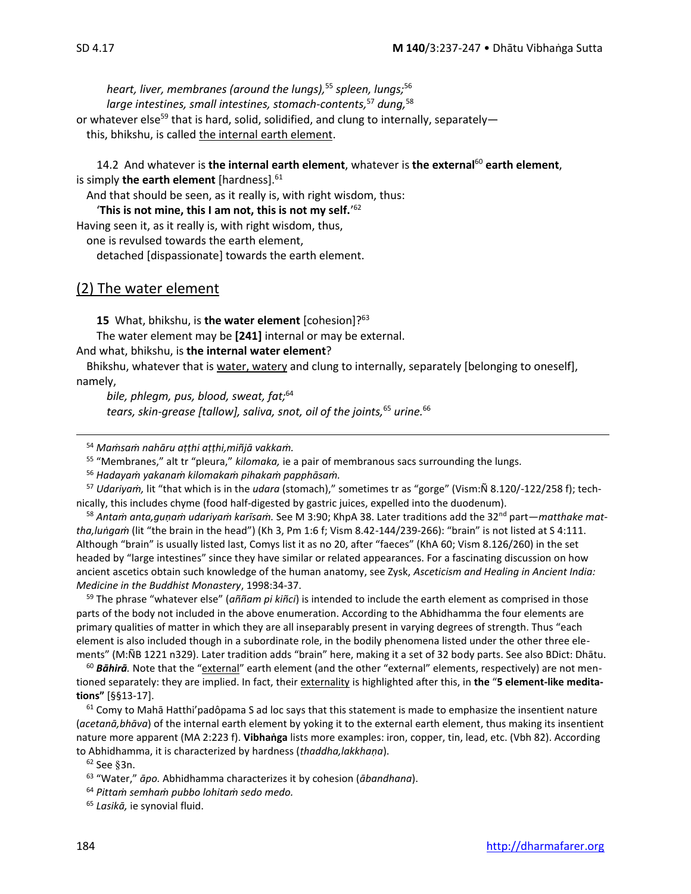*heart, liver, membranes (around the lungs),*<sup>55</sup> *spleen, lungs;*<sup>56</sup> *large intestines, small intestines, stomach-contents,*<sup>57</sup> *dung,*<sup>58</sup> or whatever else<sup>59</sup> that is hard, solid, solidified, and clung to internally, separatelythis, bhikshu, is called the internal earth element.

14.2 And whatever is **the internal earth element**, whatever is **the external**<sup>60</sup> **earth element**, is simply **the earth element** [hardness]. 61

And that should be seen, as it really is, with right wisdom, thus:

'**This is not mine, this I am not, this is not my self.**' 62

Having seen it, as it really is, with right wisdom, thus,

one is revulsed towards the earth element,

detached [dispassionate] towards the earth element.

#### (2) The water element

**15** What, bhikshu, is **the water element** [cohesion]?<sup>63</sup>

The water element may be **[241]** internal or may be external.

And what, bhikshu, is **the internal water element**?

Bhikshu, whatever that is water, watery and clung to internally, separately [belonging to oneself], namely,

*bile, phlegm, pus, blood, sweat, fat;*<sup>64</sup> *tears, skin-grease [tallow], saliva, snot, oil of the joints,*<sup>65</sup> *urine.*<sup>66</sup>

<sup>54</sup> *Maṁsaṁ nahāru aṭṭhi aṭṭhi,miñjā vakkaṁ.*

<sup>55</sup> "Membranes," alt tr "pleura," *kilomaka,* ie a pair of membranous sacs surrounding the lungs.

<sup>56</sup> *Hadayaṁ yakanaṁ kilomakaṁ pihakaṁ papphāsaṁ.*

<sup>57</sup> *Udariyaṁ,* lit "that which is in the *udara* (stomach)," sometimes tr as "gorge" (Vism:Ñ 8.120/-122/258 f); technically, this includes chyme (food half-digested by gastric juices, expelled into the duodenum).

<sup>58</sup> *Antaṁ anta,guṇaṁ udariyaṁ karīsaṁ.* See M 3:90; KhpA 38. Later traditions add the 32nd part—*matthake mattha,luṅgaṁ* (lit "the brain in the head") (Kh 3, Pm 1:6 f; Vism 8.42-144/239-266): "brain" is not listed at S 4:111. Although "brain" is usually listed last, Comys list it as no 20, after "faeces" (KhA 60; Vism 8.126/260) in the set headed by "large intestines" since they have similar or related appearances. For a fascinating discussion on how ancient ascetics obtain such knowledge of the human anatomy, see Zysk, *Asceticism and Healing in Ancient India: Medicine in the Buddhist Monastery*, 1998:34-37.

<sup>59</sup> The phrase "whatever else" (*aññam pi kiñci*) is intended to include the earth element as comprised in those parts of the body not included in the above enumeration. According to the Abhidhamma the four elements are primary qualities of matter in which they are all inseparably present in varying degrees of strength. Thus "each element is also included though in a subordinate role, in the bodily phenomena listed under the other three elements" (M:ÑB 1221 n329). Later tradition adds "brain" here, making it a set of 32 body parts. See also BDict: Dhātu.

<sup>60</sup> Bāhirā. Note that the "external" earth element (and the other "external" elements, respectively) are not mentioned separately: they are implied. In fact, their externality is highlighted after this, in the "5 element-like medita**tions"** [§§13-17].

 $61$  Comy to Mahā Hatthi'padôpama S ad loc says that this statement is made to emphasize the insentient nature (*acetanā,bhāva*) of the internal earth element by yoking it to the external earth element, thus making its insentient nature more apparent (MA 2:223 f). **Vibhaṅga** lists more examples: iron, copper, tin, lead, etc. (Vbh 82). According to Abhidhamma, it is characterized by hardness (*thaddha,lakkhaṇa*).

 $62$  See §3n.

<sup>63</sup> "Water," *āpo.* Abhidhamma characterizes it by cohesion (*ābandhana*).

<sup>64</sup> *Pittaṁ semhaṁ pubbo lohitaṁ sedo medo.*

<sup>65</sup> *Lasikā,* ie synovial fluid.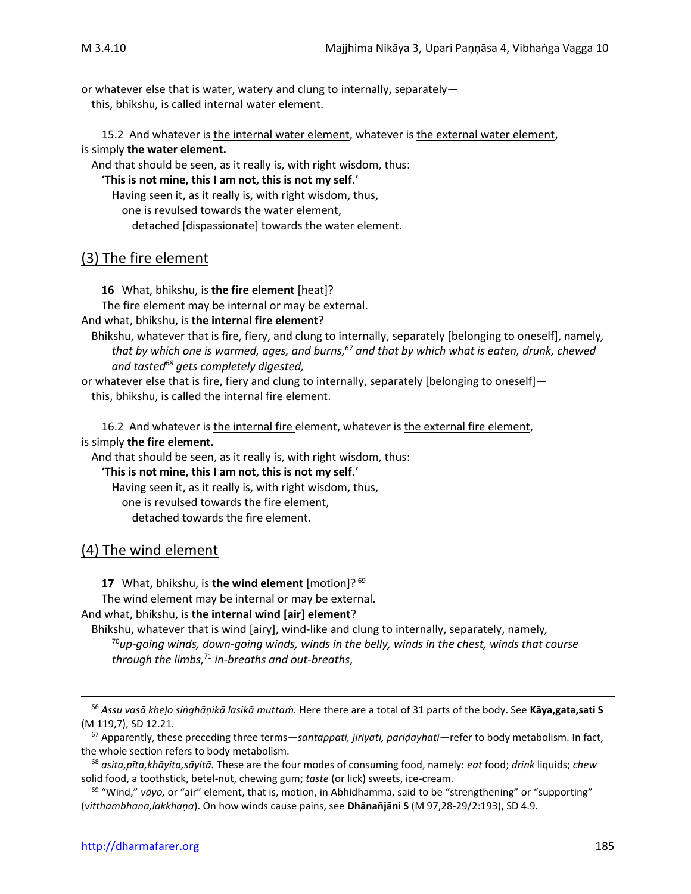or whatever else that is water, watery and clung to internally, separately this, bhikshu, is called internal water element.

15.2 And whatever is the internal water element, whatever is the external water element, is simply **the water element.** 

And that should be seen, as it really is, with right wisdom, thus:

'**This is not mine, this I am not, this is not my self.**'

Having seen it, as it really is, with right wisdom, thus,

one is revulsed towards the water element,

detached [dispassionate] towards the water element.

# (3) The fire element

**16** What, bhikshu, is **the fire element** [heat]?

The fire element may be internal or may be external.

And what, bhikshu, is **the internal fire element**?

Bhikshu, whatever that is fire, fiery, and clung to internally, separately [belonging to oneself], namely*, that by which one is warmed, ages, and burns, <sup>67</sup> and that by which what is eaten, drunk, chewed and tasted<sup>68</sup> gets completely digested,* 

or whatever else that is fire, fiery and clung to internally, separately [belonging to oneself] this, bhikshu, is called the internal fire element.

16.2 And whatever is the internal fire element, whatever is the external fire element, is simply **the fire element.** 

And that should be seen, as it really is, with right wisdom, thus:

'**This is not mine, this I am not, this is not my self.**'

Having seen it, as it really is, with right wisdom, thus,

one is revulsed towards the fire element,

detached towards the fire element.

#### (4) The wind element

**17** What, bhikshu, is **the wind element** [motion]? <sup>69</sup>

The wind element may be internal or may be external.

#### And what, bhikshu, is **the internal wind [air] element**?

Bhikshu, whatever that is wind [airy], wind-like and clung to internally, separately, namely*,*  <sup>70</sup>*up-going winds, down-going winds, winds in the belly, winds in the chest, winds that course through the limbs,*<sup>71</sup> *in-breaths and out-breaths*,

<sup>66</sup> *Assu vasā kheḷo siṅghāṇikā lasikā muttaṁ.* Here there are a total of 31 parts of the body. See **Kāya,gata,sati S**  (M 119,7), SD 12.21.

<sup>67</sup> Apparently, these preceding three terms—*santappati, jiriyati, pariḍayhati*—refer to body metabolism. In fact, the whole section refers to body metabolism.

<sup>68</sup> *asita,pīta,khāyita,sāyitā.* These are the four modes of consuming food, namely: *eat* food; *drink* liquids; *chew* solid food, a toothstick, betel-nut, chewing gum; *taste* (or lick) sweets, ice-cream.

<sup>69</sup> "Wind," *vāyo,* or "air" element, that is, motion, in Abhidhamma, said to be "strengthening" or "supporting" (*vitthambhana,lakkhaṇa*). On how winds cause pains, see **Dhānañjāni S** (M 97,28-29/2:193), SD 4.9.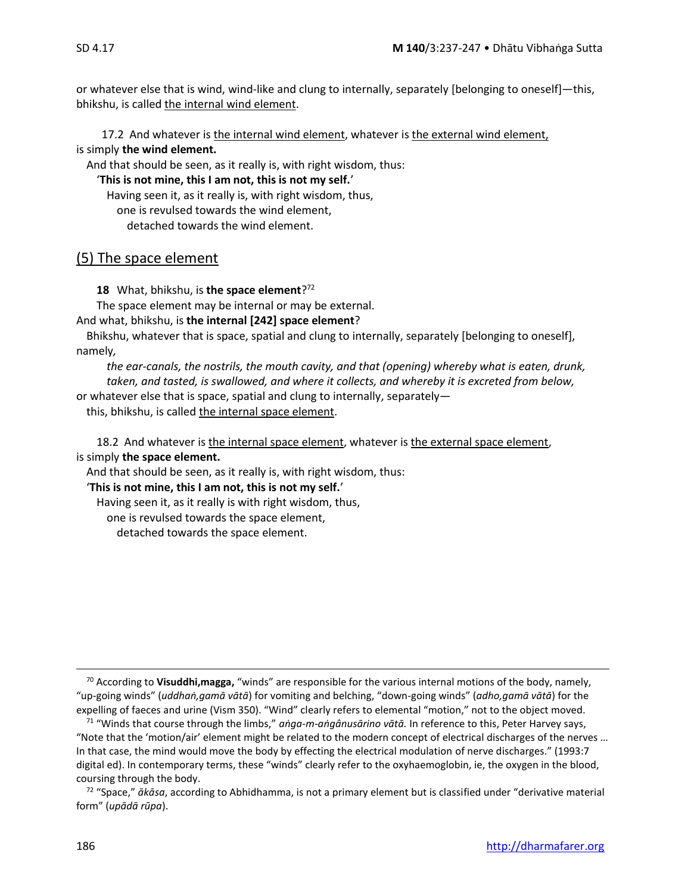or whatever else that is wind, wind-like and clung to internally, separately [belonging to oneself]—this, bhikshu, is called the internal wind element.

17.2 And whatever is the internal wind element, whatever is the external wind element, is simply **the wind element.** 

And that should be seen, as it really is, with right wisdom, thus:

'**This is not mine, this I am not, this is not my self.**'

Having seen it, as it really is, with right wisdom, thus,

one is revulsed towards the wind element,

detached towards the wind element.

#### (5) The space element

**18** What, bhikshu, is **the space element**? 72

The space element may be internal or may be external.

And what, bhikshu, is **the internal [242] space element**?

Bhikshu, whatever that is space, spatial and clung to internally, separately [belonging to oneself], namely*,* 

*the ear-canals, the nostrils, the mouth cavity, and that (opening) whereby what is eaten, drunk, taken, and tasted, is swallowed, and where it collects, and whereby it is excreted from below,*  or whatever else that is space, spatial and clung to internally, separately—

this, bhikshu, is called the internal space element.

18.2 And whatever is the internal space element, whatever is the external space element, is simply **the space element.** 

And that should be seen, as it really is, with right wisdom, thus:

#### '**This is not mine, this I am not, this is not my self.**'

Having seen it, as it really is with right wisdom, thus,

one is revulsed towards the space element,

detached towards the space element.

<sup>70</sup> According to **Visuddhi,magga,** "winds" are responsible for the various internal motions of the body, namely, "up-going winds" (*uddhaṅ,gamā vātā*) for vomiting and belching, "down-going winds" (*adho,gamā vātā*) for the expelling of faeces and urine (Vism 350). "Wind" clearly refers to elemental "motion," not to the object moved.

<sup>71</sup> "Winds that course through the limbs," *aṅga-m-aṅgânusārino vātā.* In reference to this, Peter Harvey says, "Note that the 'motion/air' element might be related to the modern concept of electrical discharges of the nerves … In that case, the mind would move the body by effecting the electrical modulation of nerve discharges." (1993:7 digital ed). In contemporary terms, these "winds" clearly refer to the oxyhaemoglobin, ie, the oxygen in the blood, coursing through the body.

<sup>72</sup> "Space," *ākāsa*, according to Abhidhamma, is not a primary element but is classified under "derivative material form" (*upādā rūpa*).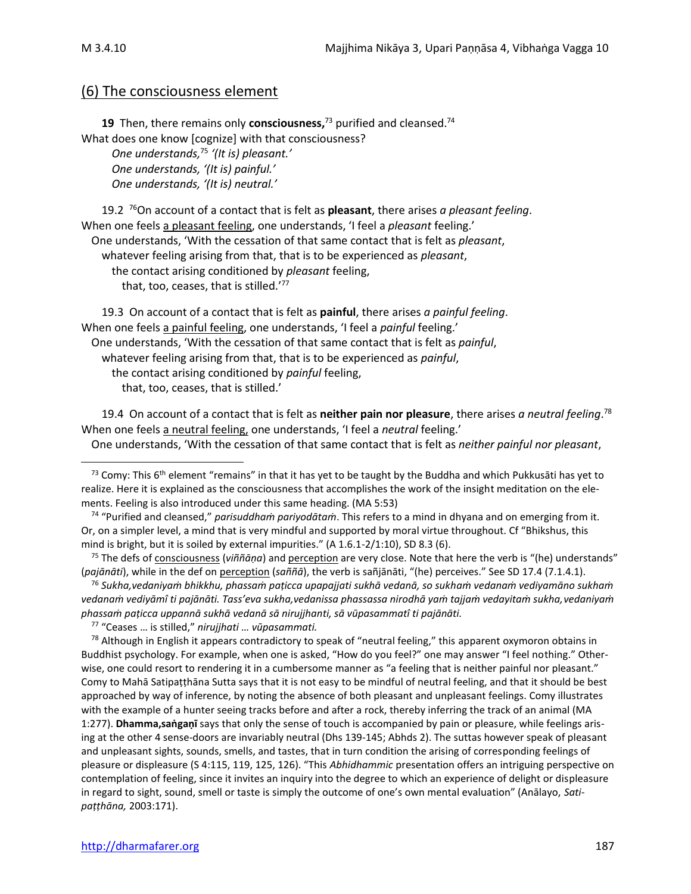### (6) The consciousness element

**19** Then, there remains only **consciousness,** <sup>73</sup> purified and cleansed. 74 What does one know [cognize] with that consciousness? *One understands,* 75 *'(It is) pleasant.' One understands, '(It is) painful.' One understands, '(It is) neutral.'*

19.2 <sup>76</sup>On account of a contact that is felt as **pleasant**, there arises *a pleasant feeling*. When one feels a pleasant feeling, one understands, 'I feel a *pleasant* feeling.' One understands, 'With the cessation of that same contact that is felt as *pleasant*, whatever feeling arising from that, that is to be experienced as *pleasant*, the contact arising conditioned by *pleasant* feeling, that, too, ceases, that is stilled.'<sup>77</sup>

19.3 On account of a contact that is felt as **painful**, there arises *a painful feeling*. When one feels a painful feeling, one understands, 'I feel a *painful* feeling.' One understands, 'With the cessation of that same contact that is felt as *painful*, whatever feeling arising from that, that is to be experienced as *painful*, the contact arising conditioned by *painful* feeling, that, too, ceases, that is stilled.'

19.4 On account of a contact that is felt as **neither pain nor pleasure**, there arises *a neutral feeling*. 78 When one feels a neutral feeling, one understands, 'I feel a *neutral* feeling.'

One understands, 'With the cessation of that same contact that is felt as *neither painful nor pleasant*,

<sup>74</sup> "Purified and cleansed," *parisuddhaṁ pariyodātaṁ*. This refers to a mind in dhyana and on emerging from it. Or, on a simpler level, a mind that is very mindful and supported by moral virtue throughout. Cf "Bhikshus, this mind is bright, but it is soiled by external impurities." (A 1.6.1-2/1:10), SD 8.3 (6).

<sup>75</sup> The defs of consciousness (*viññāṇa*) and perception are very close. Note that here the verb is "(he) understands" (*pajānāti*), while in the def on perception (*saññā*), the verb is sañjānāti, "(he) perceives." See SD 17.4 (7.1.4.1).

<sup>76</sup> *Sukha,vedaniyaṁ bhikkhu, phassaṁ paṭicca upapajjati sukhā vedanā, so sukhaṁ vedanaṁ vediyamāno sukhaṁ vedanaṁ vediyāmî ti pajānāti. Tass'eva sukha,vedanissa phassassa nirodhā yaṁ tajjaṁ vedayitaṁ sukha,vedaniyaṁ phassaṁ paṭicca uppannā sukhā vedanā sā nirujjhanti, sā vūpasammatî ti pajānāti.*

<sup>77</sup> "Ceases … is stilled," *nirujjhati … vūpasammati.*

 $78$  Although in English it appears contradictory to speak of "neutral feeling," this apparent oxymoron obtains in Buddhist psychology. For example, when one is asked, "How do you feel?" one may answer "I feel nothing." Otherwise, one could resort to rendering it in a cumbersome manner as "a feeling that is neither painful nor pleasant." Comy to Mahā Satipaṭṭhāna Sutta says that it is not easy to be mindful of neutral feeling, and that it should be best approached by way of inference, by noting the absence of both pleasant and unpleasant feelings. Comy illustrates with the example of a hunter seeing tracks before and after a rock, thereby inferring the track of an animal (MA 1:277). **Dhamma,saṅgaṇī** says that only the sense of touch is accompanied by pain or pleasure, while feelings arising at the other 4 sense-doors are invariably neutral (Dhs 139-145; Abhds 2). The suttas however speak of pleasant and unpleasant sights, sounds, smells, and tastes, that in turn condition the arising of corresponding feelings of pleasure or displeasure (S 4:115, 119, 125, 126). "This *Abhidhammic* presentation offers an intriguing perspective on contemplation of feeling, since it invites an inquiry into the degree to which an experience of delight or displeasure in regard to sight, sound, smell or taste is simply the outcome of one's own mental evaluation" (Anālayo, *Satipaṭṭhāna,* 2003:171).

<sup>&</sup>lt;sup>73</sup> Comy: This 6<sup>th</sup> element "remains" in that it has yet to be taught by the Buddha and which Pukkusāti has yet to realize. Here it is explained as the consciousness that accomplishes the work of the insight meditation on the elements. Feeling is also introduced under this same heading. (MA 5:53)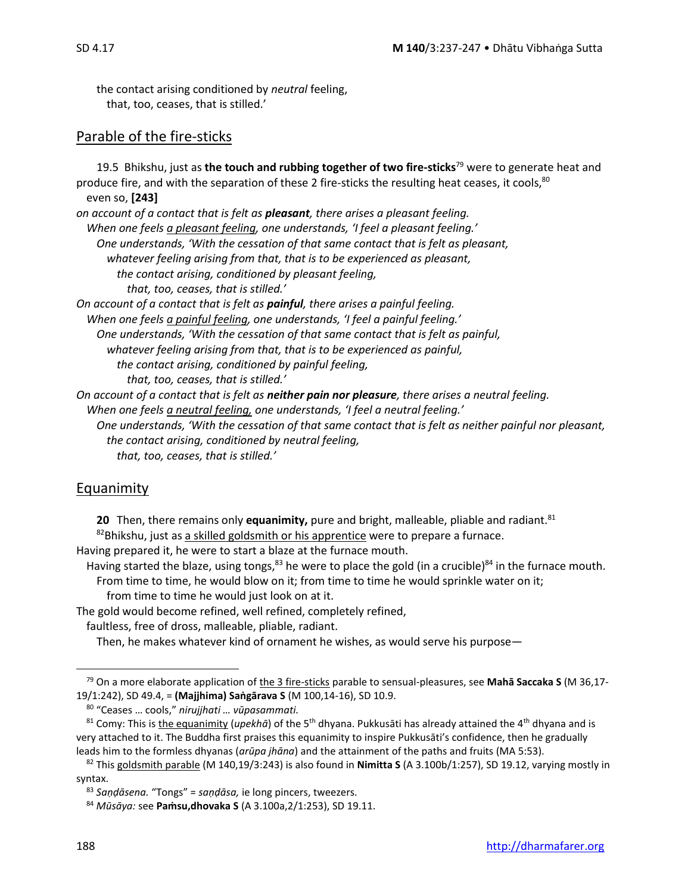the contact arising conditioned by *neutral* feeling, that, too, ceases, that is stilled.'

# Parable of the fire-sticks

| 19.5 Bhikshu, just as the touch and rubbing together of two fire-sticks <sup>79</sup> were to generate heat and |
|-----------------------------------------------------------------------------------------------------------------|
| produce fire, and with the separation of these 2 fire-sticks the resulting heat ceases, it cools, <sup>80</sup> |
| even so, [243]                                                                                                  |
| on account of a contact that is felt as <b>pleasant</b> , there arises a pleasant feeling.                      |
| When one feels a pleasant feeling, one understands, 'I feel a pleasant feeling.'                                |
| One understands, 'With the cessation of that same contact that is felt as pleasant,                             |
| whatever feeling arising from that, that is to be experienced as pleasant,                                      |
| the contact arising, conditioned by pleasant feeling,                                                           |
| that, too, ceases, that is stilled.'                                                                            |
| On account of a contact that is felt as <i>painful</i> , there arises a painful feeling.                        |
| When one feels a painful feeling, one understands, 'I feel a painful feeling.'                                  |
| One understands, 'With the cessation of that same contact that is felt as painful,                              |
| whatever feeling arising from that, that is to be experienced as painful,                                       |
| the contact arising, conditioned by painful feeling,                                                            |
| that, too, ceases, that is stilled.'                                                                            |
| On account of a contact that is felt as <b>neither pain nor pleasure</b> , there arises a neutral feeling.      |
| When one feels a neutral feeling, one understands, 'I feel a neutral feeling.'                                  |
| One understands, 'With the cessation of that same contact that is felt as neither painful nor pleasant,         |
| the contact arising, conditioned by neutral feeling,                                                            |
| that, too, ceases, that is stilled.'                                                                            |

# Equanimity

**20** Then, there remains only **equanimity**, pure and bright, malleable, pliable and radiant.<sup>81</sup> 82Bhikshu, just as a skilled goldsmith or his apprentice were to prepare a furnace.

Having prepared it, he were to start a blaze at the furnace mouth.

Having started the blaze, using tongs,<sup>83</sup> he were to place the gold (in a crucible)<sup>84</sup> in the furnace mouth. From time to time, he would blow on it; from time to time he would sprinkle water on it;

from time to time he would just look on at it.

The gold would become refined, well refined, completely refined,

faultless, free of dross, malleable, pliable, radiant.

Then, he makes whatever kind of ornament he wishes, as would serve his purpose—

<sup>79</sup> On a more elaborate application of the 3 fire-sticks parable to sensual-pleasures, see **Mahā Saccaka S** (M 36,17- 19/1:242), SD 49.4, = **(Majjhima) Saṅgārava S** (M 100,14-16), SD 10.9.

<sup>80</sup> "Ceases … cools," *nirujjhati … vūpasammati.*

<sup>81</sup> Comy: This is the equanimity (*upekhā*) of the 5th dhyana. Pukkusāti has already attained the 4th dhyana and is very attached to it. The Buddha first praises this equanimity to inspire Pukkusāti's confidence, then he gradually leads him to the formless dhyanas (*arūpa jhāna*) and the attainment of the paths and fruits (MA 5:53).

<sup>82</sup> This goldsmith parable (M 140,19/3:243) is also found in **Nimitta S** (A 3.100b/1:257), SD 19.12, varying mostly in syntax.

<sup>83</sup> *Saṇḍāsena.* "Tongs" = *saṇḍāsa,* ie long pincers, tweezers*.*

<sup>84</sup> *Mūsāya:* see **Paṁsu,dhovaka S** (A 3.100a,2/1:253), SD 19.11.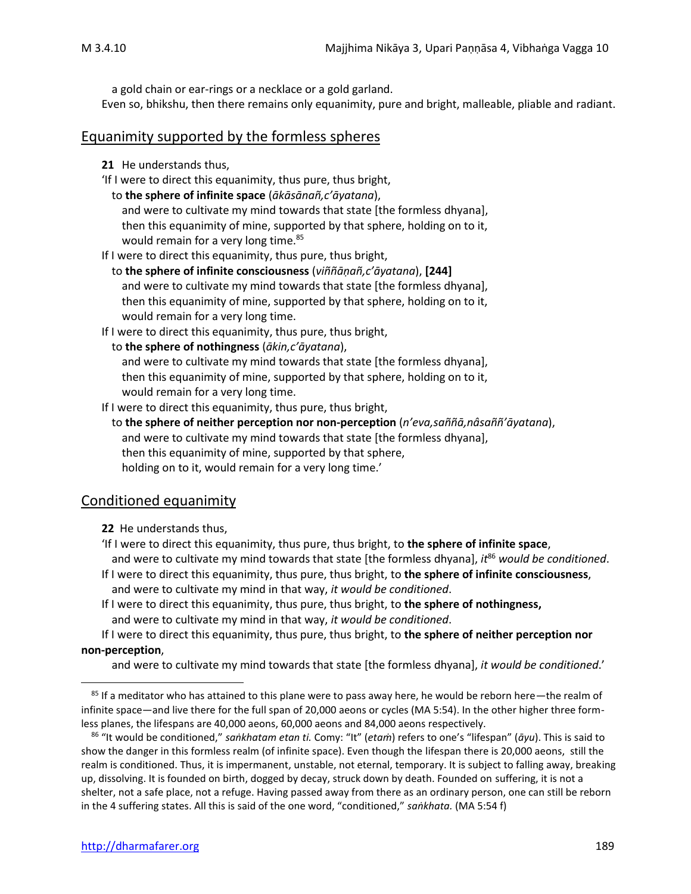a gold chain or ear-rings or a necklace or a gold garland.

Even so, bhikshu, then there remains only equanimity, pure and bright, malleable, pliable and radiant.

#### Equanimity supported by the formless spheres

- **21** He understands thus,
- 'If I were to direct this equanimity, thus pure, thus bright,
- to **the sphere of infinite space** (*ākāsānañ,c'āyatana*),

and were to cultivate my mind towards that state [the formless dhyana], then this equanimity of mine, supported by that sphere, holding on to it, would remain for a very long time.<sup>85</sup>

If I were to direct this equanimity, thus pure, thus bright,

- to **the sphere of infinite consciousness** (*viññāṇañ,c'āyatana*), **[244]**  and were to cultivate my mind towards that state [the formless dhyana], then this equanimity of mine, supported by that sphere, holding on to it, would remain for a very long time.
- If I were to direct this equanimity, thus pure, thus bright,
- to **the sphere of nothingness** (*ākin,c'āyatana*),

and were to cultivate my mind towards that state [the formless dhyana], then this equanimity of mine, supported by that sphere, holding on to it, would remain for a very long time.

If I were to direct this equanimity, thus pure, thus bright,

#### to **the sphere of neither perception nor non-perception** (*n'eva,saññā,nâsaññ'āyatana*), and were to cultivate my mind towards that state [the formless dhyana], then this equanimity of mine, supported by that sphere, holding on to it, would remain for a very long time.'

# Conditioned equanimity

- **22** He understands thus,
- 'If I were to direct this equanimity, thus pure, thus bright, to **the sphere of infinite space**, and were to cultivate my mind towards that state [the formless dhyana], *it*<sup>86</sup> *would be conditioned*.
- If I were to direct this equanimity, thus pure, thus bright, to **the sphere of infinite consciousness**, and were to cultivate my mind in that way, *it would be conditioned*.
- If I were to direct this equanimity, thus pure, thus bright, to **the sphere of nothingness,**  and were to cultivate my mind in that way, *it would be conditioned*.

If I were to direct this equanimity, thus pure, thus bright, to **the sphere of neither perception nor non-perception**,

and were to cultivate my mind towards that state [the formless dhyana], *it would be conditioned*.'

<sup>&</sup>lt;sup>85</sup> If a meditator who has attained to this plane were to pass away here, he would be reborn here—the realm of infinite space—and live there for the full span of 20,000 aeons or cycles (MA 5:54). In the other higher three formless planes, the lifespans are 40,000 aeons, 60,000 aeons and 84,000 aeons respectively.

<sup>86</sup> "It would be conditioned," *saṅkhatam etan ti.* Comy: "It" (*etaṁ*) refers to one's "lifespan" (*āyu*). This is said to show the danger in this formless realm (of infinite space). Even though the lifespan there is 20,000 aeons, still the realm is conditioned. Thus, it is impermanent, unstable, not eternal, temporary. It is subject to falling away, breaking up, dissolving. It is founded on birth, dogged by decay, struck down by death. Founded on suffering, it is not a shelter, not a safe place, not a refuge. Having passed away from there as an ordinary person, one can still be reborn in the 4 suffering states. All this is said of the one word, "conditioned," *saṅkhata.* (MA 5:54 f)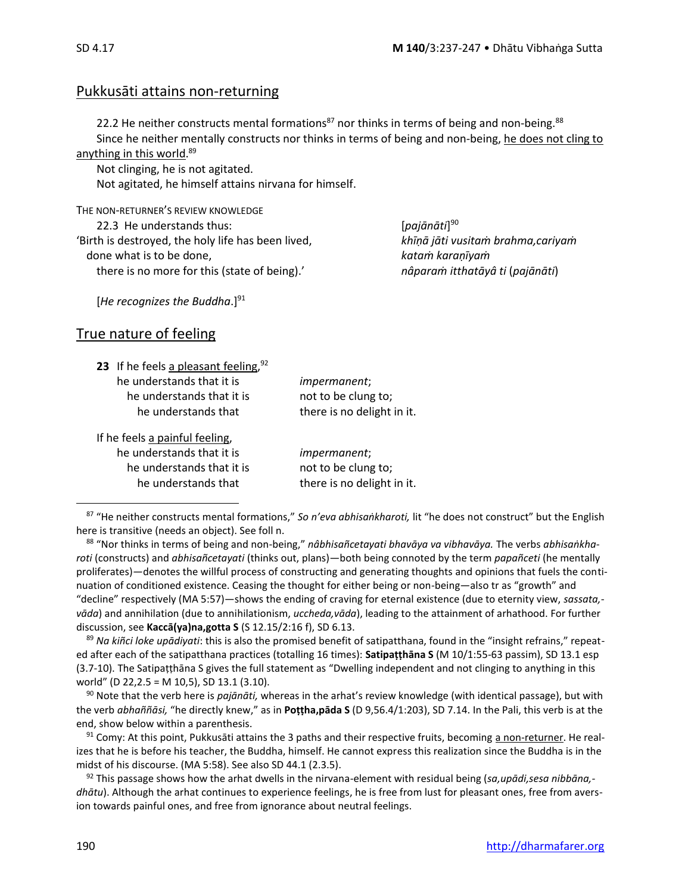# Pukkusāti attains non-returning

22.2 He neither constructs mental formations<sup>87</sup> nor thinks in terms of being and non-being.<sup>88</sup> Since he neither mentally constructs nor thinks in terms of being and non-being, he does not cling to anything in this world.<sup>89</sup>

Not clinging, he is not agitated. Not agitated, he himself attains nirvana for himself.

THE NON-RETURNER'S REVIEW KNOWLEDGE 22.3 He understands thus: [*pajānāti*] 'Birth is destroyed, the holy life has been lived, *khīṇā jāti vusitaṁ brahma,cariyaṁ* done what is to be done, *kataṁ karaṇīyaṁ*  there is no more for this (state of being).' *nâparaṁ itthatāyâ ti* (*pajānāti*)

 $[pa\bar{j}\bar{a}n\bar{a}ti]^{90}$ 

[He recognizes the Buddha.]<sup>91</sup>

# True nature of feeling

| 23 If he feels a pleasant feeling, $92$ |                            |
|-----------------------------------------|----------------------------|
| he understands that it is               | <i>impermanent</i> ;       |
| he understands that it is               | not to be clung to;        |
| he understands that                     | there is no delight in it. |
| If he feels a painful feeling,          |                            |
| he understands that it is               | <i>impermanent</i> ;       |
| he understands that it is               | not to be clung to;        |
| he understands that                     | there is no delight in it. |

<sup>87</sup> "He neither constructs mental formations," *So n'eva abhisaṅkharoti,* lit "he does not construct" but the English here is transitive (needs an object). See foll n.

<sup>88</sup> "Nor thinks in terms of being and non-being," *nâbhisañcetayati bhavāya va vibhavāya.* The verbs *abhisaṅkharoti* (constructs) and *abhisañcetayati* (thinks out, plans)—both being connoted by the term *papañceti* (he mentally proliferates)*—*denotes the willful process of constructing and generating thoughts and opinions that fuels the continuation of conditioned existence. Ceasing the thought for either being or non-being—also tr as "growth" and "decline" respectively (MA 5:57)—shows the ending of craving for eternal existence (due to eternity view, *sassata, vāda*) and annihilation (due to annihilationism, *uccheda,vāda*), leading to the attainment of arhathood. For further discussion, see **Kaccā(ya)na,gotta S** (S 12.15/2:16 f), SD 6.13.

<sup>89</sup> *Na kiñci loke upādiyati*: this is also the promised benefit of satipatthana, found in the "insight refrains," repeated after each of the satipatthana practices (totalling 16 times): **Satipaṭṭhāna S** (M 10/1:55-63 passim), SD 13.1 esp (3.7-10). The Satipaṭṭhāna S gives the full statement as "Dwelling independent and not clinging to anything in this world" (D 22,2.5 = M 10,5), SD 13.1 (3.10).

<sup>90</sup> Note that the verb here is *pajānāti,* whereas in the arhat's review knowledge (with identical passage), but with the verb *abhaññāsi,* "he directly knew," as in **Poṭṭha,pāda S** (D 9,56.4/1:203), SD 7.14. In the Pali, this verb is at the end, show below within a parenthesis.

 $91$  Comy: At this point, Pukkusāti attains the 3 paths and their respective fruits, becoming a non-returner. He realizes that he is before his teacher, the Buddha, himself. He cannot express this realization since the Buddha is in the midst of his discourse. (MA 5:58). See also SD 44.1 (2.3.5).

<sup>92</sup> This passage shows how the arhat dwells in the nirvana-element with residual being (*sa,upādi,sesa nibbāna, dhātu*). Although the arhat continues to experience feelings, he is free from lust for pleasant ones, free from aversion towards painful ones, and free from ignorance about neutral feelings.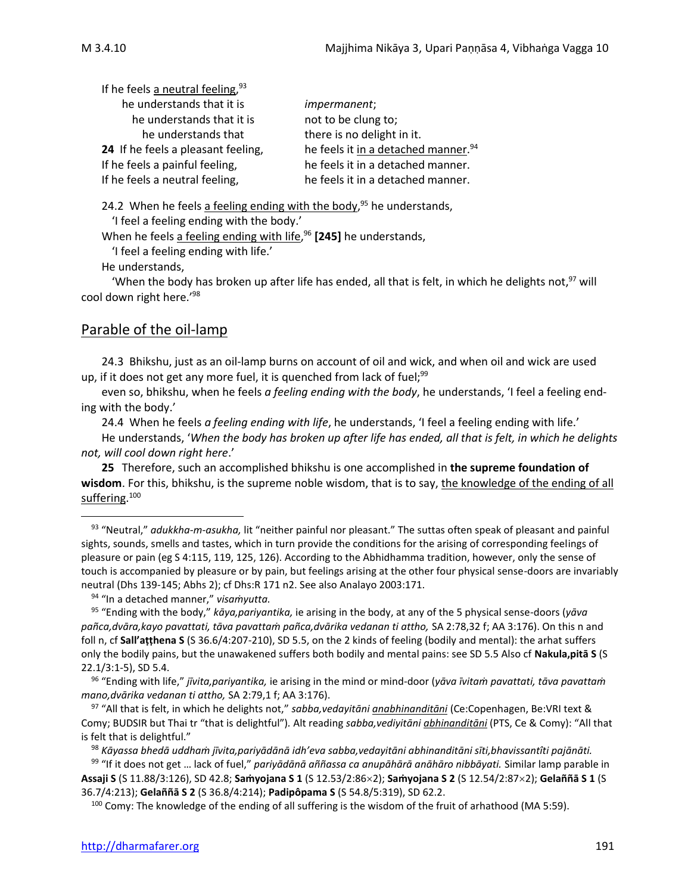| If he feels a neutral feeling, $93$ |                                                 |
|-------------------------------------|-------------------------------------------------|
| he understands that it is           | <i>impermanent</i> ;                            |
| he understands that it is           | not to be clung to;                             |
| he understands that                 | there is no delight in it.                      |
| 24 If he feels a pleasant feeling,  | he feels it in a detached manner. <sup>94</sup> |
| If he feels a painful feeling,      | he feels it in a detached manner.               |
| If he feels a neutral feeling,      | he feels it in a detached manner.               |

24.2 When he feels a feeling ending with the body,<sup>95</sup> he understands,

'I feel a feeling ending with the body.'

When he feels a feeling ending with life, <sup>96</sup> **[245]** he understands,

 $93$ 

'I feel a feeling ending with life.'

He understands,

'When the body has broken up after life has ended, all that is felt, in which he delights not,  $97$  will cool down right here.'<sup>98</sup>

## Parable of the oil-lamp

24.3 Bhikshu, just as an oil-lamp burns on account of oil and wick, and when oil and wick are used up, if it does not get any more fuel, it is quenched from lack of fuel;  $99$ 

even so, bhikshu, when he feels *a feeling ending with the body*, he understands, 'I feel a feeling ending with the body.'

24.4 When he feels *a feeling ending with life*, he understands, 'I feel a feeling ending with life.' He understands, '*When the body has broken up after life has ended, all that is felt, in which he delights not, will cool down right here*.'

**25** Therefore, such an accomplished bhikshu is one accomplished in **the supreme foundation of wisdom**. For this, bhikshu, is the supreme noble wisdom, that is to say, the knowledge of the ending of all suffering. 100

<sup>94</sup> "In a detached manner," *visaṁyutta.*

<sup>97</sup> "All that is felt, in which he delights not," *sabba,vedayitāni anabhinanditāni* (Ce:Copenhagen, Be:VRI text & Comy; BUDSIR but Thai tr "that is delightful")*.* Alt reading *sabba,vediyitāni abhinanditāni* (PTS, Ce & Comy): "All that is felt that is delightful."

<sup>98</sup> *Kāyassa bhedā uddhaṁ jīvita,pariyādānā idh'eva sabba,vedayitāni abhinanditāni sīti,bhavissantîti pajānāti.*

<sup>99</sup> "If it does not get … lack of fuel," *pariyādānā aññassa ca anupāhārā anāhāro nibbāyati.* Similar lamp parable in **Assaji S** (S 11.88/3:126), SD 42.8; **Saṁyojana S 1** (S 12.53/2:862); **Saṁyojana S 2** (S 12.54/2:872); **Gelaññā S 1** (S 36.7/4:213); **Gelaññā S 2** (S 36.8/4:214); **Padipôpama S** (S 54.8/5:319), SD 62.2.

<sup>100</sup> Comy: The knowledge of the ending of all suffering is the wisdom of the fruit of arhathood (MA 5:59).

<sup>93</sup> "Neutral," *adukkha-m-asukha,* lit "neither painful nor pleasant." The suttas often speak of pleasant and painful sights, sounds, smells and tastes, which in turn provide the conditions for the arising of corresponding feelings of pleasure or pain (eg S 4:115, 119, 125, 126). According to the Abhidhamma tradition, however, only the sense of touch is accompanied by pleasure or by pain, but feelings arising at the other four physical sense-doors are invariably neutral (Dhs 139-145; Abhs 2); cf Dhs:R 171 n2. See also Analayo 2003:171.

<sup>95</sup> "Ending with the body," *kāya,pariyantika,* ie arising in the body, at any of the 5 physical sense-doors (*yāva* pañca,dvāra, kayo pavattati, tāva pavattam pañca,dvārika vedanan ti attho, SA 2:78,32 f; AA 3:176). On this n and foll n, cf **Sall'aṭṭhena S** (S 36.6/4:207-210), SD 5.5, on the 2 kinds of feeling (bodily and mental): the arhat suffers only the bodily pains, but the unawakened suffers both bodily and mental pains: see SD 5.5 Also cf **Nakula,pitā S** (S 22.1/3:1-5), SD 5.4.

<sup>96</sup> "Ending with life," *jīvita,pariyantika,* ie arising in the mind or mind-door (*yāva īvitaṁ pavattati, tāva pavattaṁ mano,dvārika vedanan ti attho,* SA 2:79,1 f; AA 3:176).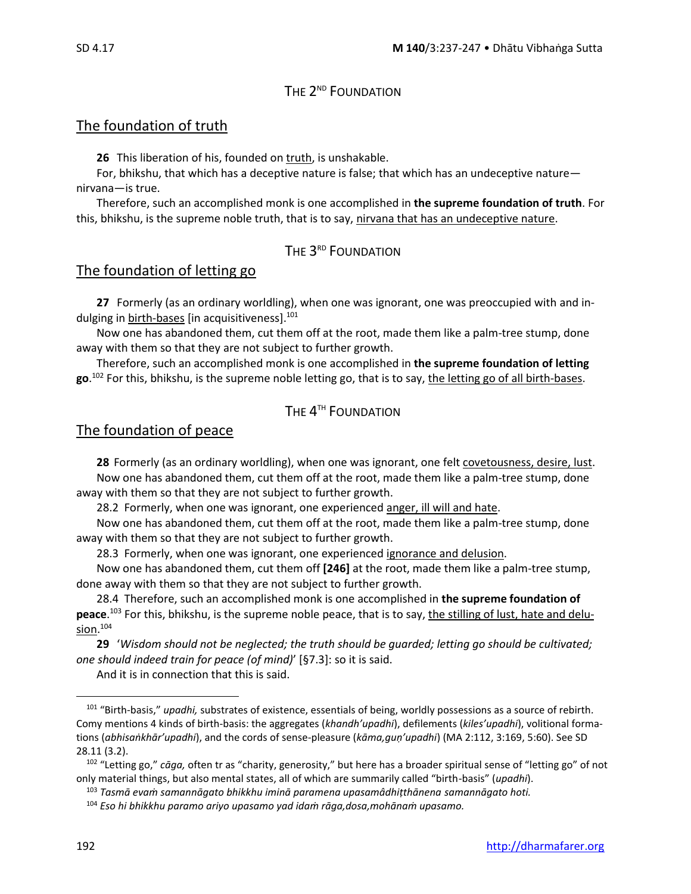# The 2<sup>nd</sup> Foundation

# The foundation of truth

**26** This liberation of his, founded on truth, is unshakable.

For, bhikshu, that which has a deceptive nature is false; that which has an undeceptive nature nirvana—is true.

Therefore, such an accomplished monk is one accomplished in **the supreme foundation of truth**. For this, bhikshu, is the supreme noble truth, that is to say, nirvana that has an undeceptive nature.

# The  $3^{\text{\tiny RD}}$  Foundation

# The foundation of letting go

**27** Formerly (as an ordinary worldling), when one was ignorant, one was preoccupied with and indulging in **birth-bases** [in acquisitiveness].<sup>101</sup>

Now one has abandoned them, cut them off at the root, made them like a palm-tree stump, done away with them so that they are not subject to further growth.

Therefore, such an accomplished monk is one accomplished in **the supreme foundation of letting go**. <sup>102</sup> For this, bhikshu, is the supreme noble letting go, that is to say, the letting go of all birth-bases.

# The  $4^{\text{\tiny{TH}}}$  Foundation

# The foundation of peace

**28** Formerly (as an ordinary worldling), when one was ignorant, one felt covetousness, desire, lust. Now one has abandoned them, cut them off at the root, made them like a palm-tree stump, done away with them so that they are not subject to further growth.

28.2Formerly, when one was ignorant, one experienced anger, ill will and hate.

Now one has abandoned them, cut them off at the root, made them like a palm-tree stump, done away with them so that they are not subject to further growth.

28.3Formerly, when one was ignorant, one experienced ignorance and delusion.

Now one has abandoned them, cut them off **[246]** at the root, made them like a palm-tree stump, done away with them so that they are not subject to further growth.

28.4Therefore, such an accomplished monk is one accomplished in **the supreme foundation of peace**. <sup>103</sup> For this, bhikshu, is the supreme noble peace, that is to say, the stilling of lust, hate and delusion. 104

**29** '*Wisdom should not be neglected; the truth should be guarded; letting go should be cultivated; one should indeed train for peace (of mind)*' [§7.3]: so it is said.

And it is in connection that this is said.

<sup>101</sup> "Birth-basis," *upadhi,* substrates of existence, essentials of being, worldly possessions as a source of rebirth*.* Comy mentions 4 kinds of birth-basis: the aggregates (*khandh'upadhi*), defilements (*kiles'upadhi*), volitional formations (*abhisaṅkhār'upadhi*), and the cords of sense-pleasure (*kāma,guṇ'upadhi*) (MA 2:112, 3:169, 5:60). See SD 28.11 (3.2).

<sup>102</sup> "Letting go," *cāga,* often tr as "charity, generosity," but here has a broader spiritual sense of "letting go" of not only material things, but also mental states, all of which are summarily called "birth-basis" (*upadhi*).

<sup>103</sup> *Tasmā evaṁ samannāgato bhikkhu iminā paramena upasamâdhiṭthānena samannāgato hoti.*

<sup>104</sup> *Eso hi bhikkhu paramo ariyo upasamo yad idaṁ rāga,dosa,mohānaṁ upasamo.*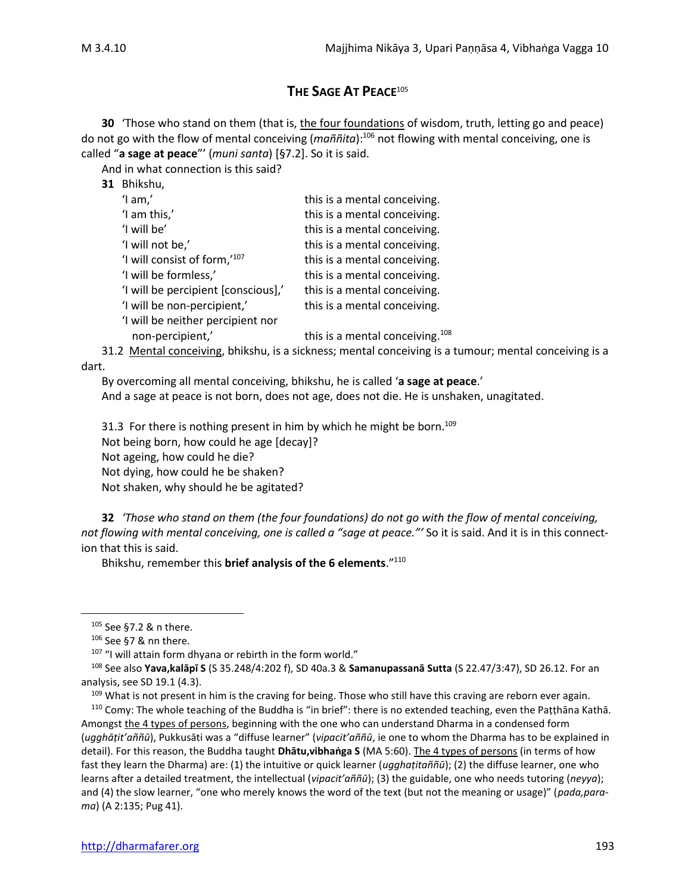# **THE SAGE AT PEACE**<sup>105</sup>

**30** 'Those who stand on them (that is, the four foundations of wisdom, truth, letting go and peace) do not go with the flow of mental conceiving (*maññita*):<sup>106</sup> not flowing with mental conceiving, one is called "**a sage at peace**"' (*muni santa*) [§7.2]. So it is said.

And in what connection is this said?

| Bhikshu,<br>31 |  |
|----------------|--|
|----------------|--|

| $'$ l am, $'$                       | this is a mental conceiving.                |
|-------------------------------------|---------------------------------------------|
| 'I am this,'                        | this is a mental conceiving.                |
| 'I will be'                         | this is a mental conceiving.                |
| 'I will not be,'                    | this is a mental conceiving.                |
| 'I will consist of form,'107        | this is a mental conceiving.                |
| 'I will be formless,'               | this is a mental conceiving.                |
| 'I will be percipient [conscious],' | this is a mental conceiving.                |
| 'I will be non-percipient,'         | this is a mental conceiving.                |
| 'I will be neither percipient nor   |                                             |
| non-percipient,'                    | this is a mental conceiving. <sup>108</sup> |
|                                     |                                             |

31.2 Mental conceiving, bhikshu, is a sickness; mental conceiving is a tumour; mental conceiving is a dart.

By overcoming all mental conceiving, bhikshu, he is called '**a sage at peace**.'

And a sage at peace is not born, does not age, does not die. He is unshaken, unagitated.

31.3 For there is nothing present in him by which he might be born.<sup>109</sup> Not being born, how could he age [decay]? Not ageing, how could he die? Not dying, how could he be shaken? Not shaken, why should he be agitated?

**32** *'Those who stand on them (the four foundations) do not go with the flow of mental conceiving, not flowing with mental conceiving, one is called a "sage at peace."'* So it is said. And it is in this connection that this is said.

Bhikshu, remember this **brief analysis of the 6 elements**."<sup>110</sup>

<sup>105</sup> See §7.2 & n there.

 $106$  See §7 & nn there.

<sup>&</sup>lt;sup>107</sup> "I will attain form dhyana or rebirth in the form world."

<sup>108</sup> See also **Yava,kalāpī S** (S 35.248/4:202 f), SD 40a.3 & **Samanupassanā Sutta** (S 22.47/3:47), SD 26.12. For an analysis, see SD 19.1 (4.3).

<sup>&</sup>lt;sup>109</sup> What is not present in him is the craving for being. Those who still have this craving are reborn ever again.

<sup>110</sup> Comy: The whole teaching of the Buddha is "in brief": there is no extended teaching, even the Paṭṭhāna Kathā. Amongst the 4 types of persons, beginning with the one who can understand Dharma in a condensed form (*ugghāṭit'aññū*), Pukkusāti was a "diffuse learner" (*vipacit'aññū*, ie one to whom the Dharma has to be explained in detail). For this reason, the Buddha taught **Dhātu,vibhaṅga S** (MA 5:60). The 4 types of persons (in terms of how fast they learn the Dharma) are: (1) the intuitive or quick learner (*ugghaṭitaññū*); (2) the diffuse learner, one who learns after a detailed treatment, the intellectual (*vipacit'aññū*); (3) the guidable, one who needs tutoring (*neyya*); and (4) the slow learner, "one who merely knows the word of the text (but not the meaning or usage)" (*pada,parama*) (A 2:135; Pug 41).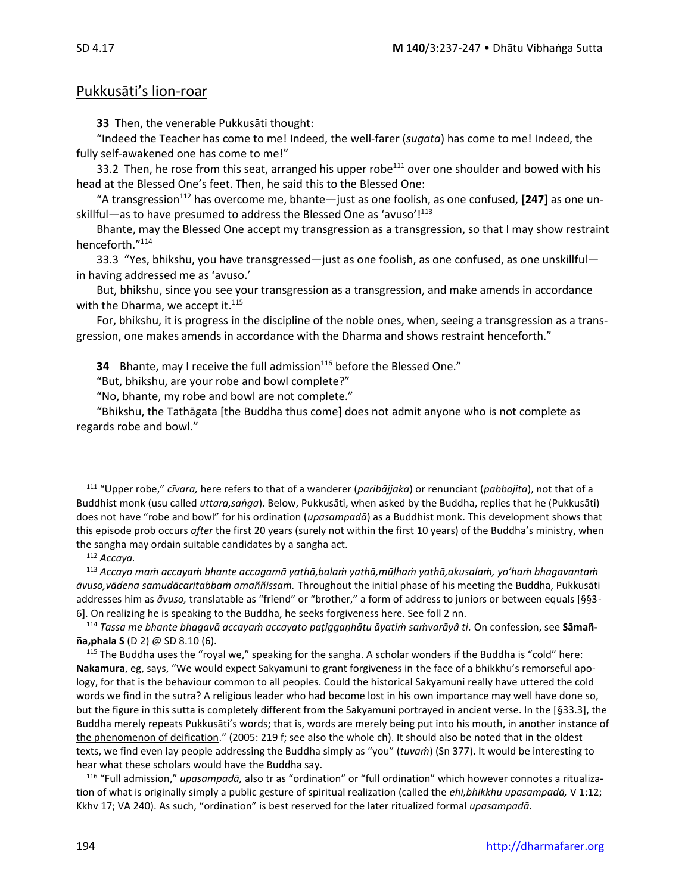# Pukkusāti's lion-roar

**33** Then, the venerable Pukkusāti thought:

"Indeed the Teacher has come to me! Indeed, the well-farer (*sugata*) has come to me! Indeed, the fully self-awakened one has come to me!"

33.2 Then, he rose from this seat, arranged his upper robe<sup>111</sup> over one shoulder and bowed with his head at the Blessed One's feet. Then, he said this to the Blessed One:

"A transgression<sup>112</sup> has overcome me, bhante—just as one foolish, as one confused, **[247]** as one unskillful—as to have presumed to address the Blessed One as 'avuso'!<sup>113</sup>

Bhante, may the Blessed One accept my transgression as a transgression, so that I may show restraint henceforth."<sup>114</sup>

33.3 "Yes, bhikshu, you have transgressed—just as one foolish, as one confused, as one unskillful in having addressed me as 'avuso.'

But, bhikshu, since you see your transgression as a transgression, and make amends in accordance with the Dharma, we accept it.<sup>115</sup>

For, bhikshu, it is progress in the discipline of the noble ones, when, seeing a transgression as a transgression, one makes amends in accordance with the Dharma and shows restraint henceforth."

**34** Bhante, may I receive the full admission<sup>116</sup> before the Blessed One."

"But, bhikshu, are your robe and bowl complete?"

"No, bhante, my robe and bowl are not complete."

"Bhikshu, the Tathāgata [the Buddha thus come] does not admit anyone who is not complete as regards robe and bowl."

<sup>116</sup> "Full admission," *upasampadā,* also tr as "ordination" or "full ordination" which however connotes a ritualization of what is originally simply a public gesture of spiritual realization (called the *ehi,bhikkhu upasampadā,* V 1:12; Kkhv 17; VA 240). As such, "ordination" is best reserved for the later ritualized formal *upasampadā.*

<sup>111</sup> "Upper robe," *cīvara,* here refers to that of a wanderer (*paribājjaka*) or renunciant (*pabbajita*), not that of a Buddhist monk (usu called *uttara,saṅga*). Below, Pukkusāti, when asked by the Buddha, replies that he (Pukkusāti) does not have "robe and bowl" for his ordination (*upasampadā*) as a Buddhist monk. This development shows that this episode prob occurs *after* the first 20 years (surely not within the first 10 years) of the Buddha's ministry, when the sangha may ordain suitable candidates by a sangha act.

<sup>112</sup> *Accaya.*

<sup>113</sup> *Accayo maṁ accayaṁ bhante accagamā yathā,balaṁ yathā,mūḷhaṁ yathā,akusalaṁ, yo'haṁ bhagavantaṁ āvuso,vādena samudācaritabbaṁ amaññissaṁ.* Throughout the initial phase of his meeting the Buddha, Pukkusāti addresses him as *āvuso,* translatable as "friend" or "brother," a form of address to juniors or between equals [§§3- 6]. On realizing he is speaking to the Buddha, he seeks forgiveness here. See foll 2 nn.

<sup>114</sup> *Tassa me bhante bhagavā accayaṁ accayato paṭiggaṇhātu āyatiṁ saṁvarāyâ ti.* On confession, see **Sāmañña,phala S** (D 2) @ SD 8.10 (6)*.*

<sup>115</sup> The Buddha uses the "royal we," speaking for the sangha. A scholar wonders if the Buddha is "cold" here: **Nakamura**, eg, says, "We would expect Sakyamuni to grant forgiveness in the face of a bhikkhu's remorseful apology, for that is the behaviour common to all peoples. Could the historical Sakyamuni really have uttered the cold words we find in the sutra? A religious leader who had become lost in his own importance may well have done so, but the figure in this sutta is completely different from the Sakyamuni portrayed in ancient verse. In the [§33.3], the Buddha merely repeats Pukkusāti's words; that is, words are merely being put into his mouth, in another instance of the phenomenon of deification." (2005: 219 f; see also the whole ch). It should also be noted that in the oldest texts, we find even lay people addressing the Buddha simply as "you" (*tuvaṁ*) (Sn 377). It would be interesting to hear what these scholars would have the Buddha say.